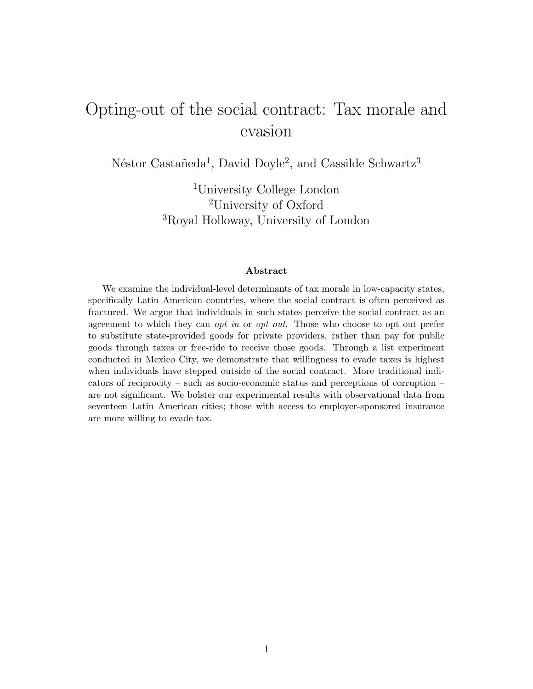# <span id="page-0-0"></span>Opting-out of the social contract: Tax morale and evasion

Néstor Castañeda<sup>1</sup>, David Doyle<sup>2</sup>, and Cassilde Schwartz<sup>3</sup>

<sup>1</sup>University College London <sup>2</sup>University of Oxford <sup>3</sup>Royal Holloway, University of London

#### Abstract

We examine the individual-level determinants of tax morale in low-capacity states, specifically Latin American countries, where the social contract is often perceived as fractured. We argue that individuals in such states perceive the social contract as an agreement to which they can opt in or opt out. Those who choose to opt out prefer to substitute state-provided goods for private providers, rather than pay for public goods through taxes or free-ride to receive those goods. Through a list experiment conducted in Mexico City, we demonstrate that willingness to evade taxes is highest when individuals have stepped outside of the social contract. More traditional indicators of reciprocity – such as socio-economic status and perceptions of corruption – are not significant. We bolster our experimental results with observational data from seventeen Latin American cities; those with access to employer-sponsored insurance are more willing to evade tax.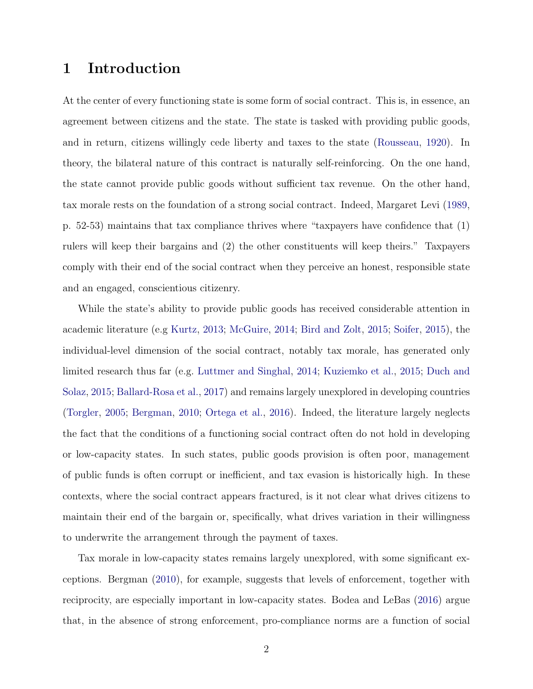### 1 Introduction

At the center of every functioning state is some form of social contract. This is, in essence, an agreement between citizens and the state. The state is tasked with providing public goods, and in return, citizens willingly cede liberty and taxes to the state [\(Rousseau,](#page-38-0) [1920\)](#page-38-0). In theory, the bilateral nature of this contract is naturally self-reinforcing. On the one hand, the state cannot provide public goods without sufficient tax revenue. On the other hand, tax morale rests on the foundation of a strong social contract. Indeed, Margaret Levi [\(1989,](#page-37-0) p. 52-53) maintains that tax compliance thrives where "taxpayers have confidence that (1) rulers will keep their bargains and (2) the other constituents will keep theirs." Taxpayers comply with their end of the social contract when they perceive an honest, responsible state and an engaged, conscientious citizenry.

While the state's ability to provide public goods has received considerable attention in academic literature (e.g [Kurtz,](#page-37-1) [2013;](#page-37-1) [McGuire,](#page-37-2) [2014;](#page-37-2) [Bird and Zolt,](#page-33-0) [2015;](#page-33-0) [Soifer,](#page-38-1) [2015\)](#page-38-1), the individual-level dimension of the social contract, notably tax morale, has generated only limited research thus far (e.g. [Luttmer and Singhal,](#page-37-3) [2014;](#page-37-3) [Kuziemko et al.,](#page-37-4) [2015;](#page-37-4) [Duch and](#page-35-0) [Solaz,](#page-35-0) [2015;](#page-35-0) [Ballard-Rosa et al.,](#page-33-1) [2017\)](#page-33-1) and remains largely unexplored in developing countries [\(Torgler,](#page-38-2) [2005;](#page-38-2) [Bergman,](#page-33-2) [2010;](#page-33-2) [Ortega et al.,](#page-37-5) [2016\)](#page-37-5). Indeed, the literature largely neglects the fact that the conditions of a functioning social contract often do not hold in developing or low-capacity states. In such states, public goods provision is often poor, management of public funds is often corrupt or inefficient, and tax evasion is historically high. In these contexts, where the social contract appears fractured, is it not clear what drives citizens to maintain their end of the bargain or, specifically, what drives variation in their willingness to underwrite the arrangement through the payment of taxes.

Tax morale in low-capacity states remains largely unexplored, with some significant exceptions. Bergman [\(2010\)](#page-33-2), for example, suggests that levels of enforcement, together with reciprocity, are especially important in low-capacity states. Bodea and LeBas [\(2016\)](#page-34-0) argue that, in the absence of strong enforcement, pro-compliance norms are a function of social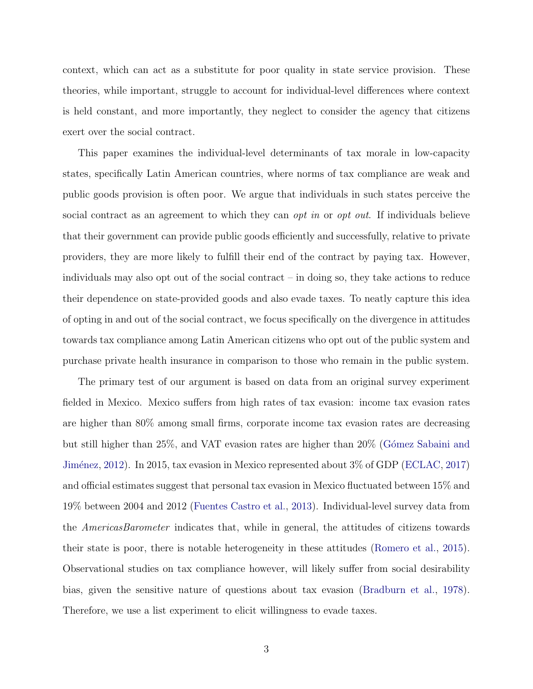context, which can act as a substitute for poor quality in state service provision. These theories, while important, struggle to account for individual-level differences where context is held constant, and more importantly, they neglect to consider the agency that citizens exert over the social contract.

This paper examines the individual-level determinants of tax morale in low-capacity states, specifically Latin American countries, where norms of tax compliance are weak and public goods provision is often poor. We argue that individuals in such states perceive the social contract as an agreement to which they can *opt in* or *opt out*. If individuals believe that their government can provide public goods efficiently and successfully, relative to private providers, they are more likely to fulfill their end of the contract by paying tax. However, individuals may also opt out of the social contract – in doing so, they take actions to reduce their dependence on state-provided goods and also evade taxes. To neatly capture this idea of opting in and out of the social contract, we focus specifically on the divergence in attitudes towards tax compliance among Latin American citizens who opt out of the public system and purchase private health insurance in comparison to those who remain in the public system.

The primary test of our argument is based on data from an original survey experiment fielded in Mexico. Mexico suffers from high rates of tax evasion: income tax evasion rates are higher than 80% among small firms, corporate income tax evasion rates are decreasing but still higher than 25%, and VAT evasion rates are higher than 20% (Gómez Sabaini and Jiménez, [2012\)](#page-36-0). In 2015, tax evasion in Mexico represented about 3% of GDP [\(ECLAC,](#page-35-1) [2017\)](#page-35-1) and official estimates suggest that personal tax evasion in Mexico fluctuated between 15% and 19% between 2004 and 2012 [\(Fuentes Castro et al.,](#page-36-1) [2013\)](#page-36-1). Individual-level survey data from the AmericasBarometer indicates that, while in general, the attitudes of citizens towards their state is poor, there is notable heterogeneity in these attitudes [\(Romero et al.,](#page-37-6) [2015\)](#page-37-6). Observational studies on tax compliance however, will likely suffer from social desirability bias, given the sensitive nature of questions about tax evasion [\(Bradburn et al.,](#page-34-1) [1978\)](#page-34-1). Therefore, we use a list experiment to elicit willingness to evade taxes.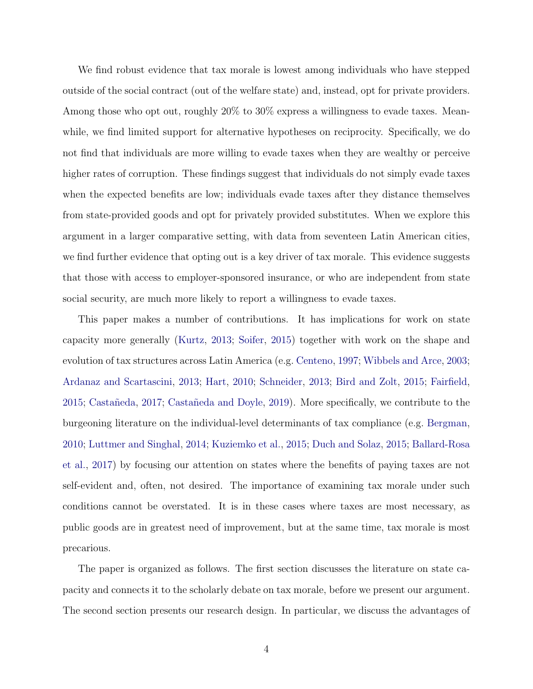We find robust evidence that tax morale is lowest among individuals who have stepped outside of the social contract (out of the welfare state) and, instead, opt for private providers. Among those who opt out, roughly 20% to 30% express a willingness to evade taxes. Meanwhile, we find limited support for alternative hypotheses on reciprocity. Specifically, we do not find that individuals are more willing to evade taxes when they are wealthy or perceive higher rates of corruption. These findings suggest that individuals do not simply evade taxes when the expected benefits are low; individuals evade taxes after they distance themselves from state-provided goods and opt for privately provided substitutes. When we explore this argument in a larger comparative setting, with data from seventeen Latin American cities, we find further evidence that opting out is a key driver of tax morale. This evidence suggests that those with access to employer-sponsored insurance, or who are independent from state social security, are much more likely to report a willingness to evade taxes.

This paper makes a number of contributions. It has implications for work on state capacity more generally [\(Kurtz,](#page-37-1) [2013;](#page-37-1) [Soifer,](#page-38-1) [2015\)](#page-38-1) together with work on the shape and evolution of tax structures across Latin America (e.g. [Centeno,](#page-34-2) [1997;](#page-34-2) [Wibbels and Arce,](#page-38-3) [2003;](#page-38-3) [Ardanaz and Scartascini,](#page-33-3) [2013;](#page-33-3) [Hart,](#page-36-2) [2010;](#page-36-2) [Schneider,](#page-38-4) [2013;](#page-38-4) [Bird and Zolt,](#page-33-0) [2015;](#page-33-0) [Fairfield,](#page-35-2) [2015;](#page-35-2) [Casta˜neda,](#page-34-3) [2017;](#page-34-3) [Casta˜neda and Doyle,](#page-34-4) [2019\)](#page-34-4). More specifically, we contribute to the burgeoning literature on the individual-level determinants of tax compliance (e.g. [Bergman,](#page-33-2) [2010;](#page-33-2) [Luttmer and Singhal,](#page-37-3) [2014;](#page-37-3) [Kuziemko et al.,](#page-37-4) [2015;](#page-37-4) [Duch and Solaz,](#page-35-0) [2015;](#page-35-0) [Ballard-Rosa](#page-33-1) [et al.,](#page-33-1) [2017\)](#page-33-1) by focusing our attention on states where the benefits of paying taxes are not self-evident and, often, not desired. The importance of examining tax morale under such conditions cannot be overstated. It is in these cases where taxes are most necessary, as public goods are in greatest need of improvement, but at the same time, tax morale is most precarious.

The paper is organized as follows. The first section discusses the literature on state capacity and connects it to the scholarly debate on tax morale, before we present our argument. The second section presents our research design. In particular, we discuss the advantages of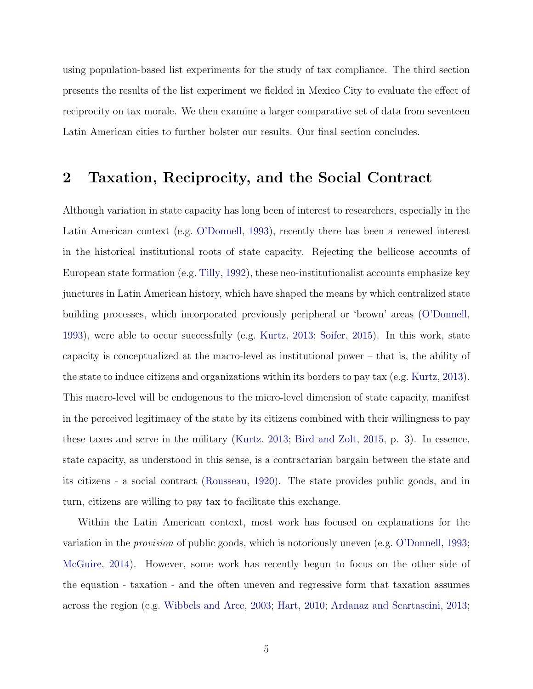using population-based list experiments for the study of tax compliance. The third section presents the results of the list experiment we fielded in Mexico City to evaluate the effect of reciprocity on tax morale. We then examine a larger comparative set of data from seventeen Latin American cities to further bolster our results. Our final section concludes.

### 2 Taxation, Reciprocity, and the Social Contract

Although variation in state capacity has long been of interest to researchers, especially in the Latin American context (e.g. [O'Donnell,](#page-37-7) [1993\)](#page-37-7), recently there has been a renewed interest in the historical institutional roots of state capacity. Rejecting the bellicose accounts of European state formation (e.g. [Tilly,](#page-38-5) [1992\)](#page-38-5), these neo-institutionalist accounts emphasize key junctures in Latin American history, which have shaped the means by which centralized state building processes, which incorporated previously peripheral or 'brown' areas [\(O'Donnell,](#page-37-7) [1993\)](#page-37-7), were able to occur successfully (e.g. [Kurtz,](#page-37-1) [2013;](#page-37-1) [Soifer,](#page-38-1) [2015\)](#page-38-1). In this work, state capacity is conceptualized at the macro-level as institutional power – that is, the ability of the state to induce citizens and organizations within its borders to pay tax (e.g. [Kurtz,](#page-37-1) [2013\)](#page-37-1). This macro-level will be endogenous to the micro-level dimension of state capacity, manifest in the perceived legitimacy of the state by its citizens combined with their willingness to pay these taxes and serve in the military [\(Kurtz,](#page-37-1) [2013;](#page-37-1) [Bird and Zolt,](#page-33-0) [2015,](#page-33-0) p. 3). In essence, state capacity, as understood in this sense, is a contractarian bargain between the state and its citizens - a social contract [\(Rousseau,](#page-38-0) [1920\)](#page-38-0). The state provides public goods, and in turn, citizens are willing to pay tax to facilitate this exchange.

Within the Latin American context, most work has focused on explanations for the variation in the provision of public goods, which is notoriously uneven (e.g. [O'Donnell,](#page-37-7) [1993;](#page-37-7) [McGuire,](#page-37-2) [2014\)](#page-37-2). However, some work has recently begun to focus on the other side of the equation - taxation - and the often uneven and regressive form that taxation assumes across the region (e.g. [Wibbels and Arce,](#page-38-3) [2003;](#page-38-3) [Hart,](#page-36-2) [2010;](#page-36-2) [Ardanaz and Scartascini,](#page-33-3) [2013;](#page-33-3)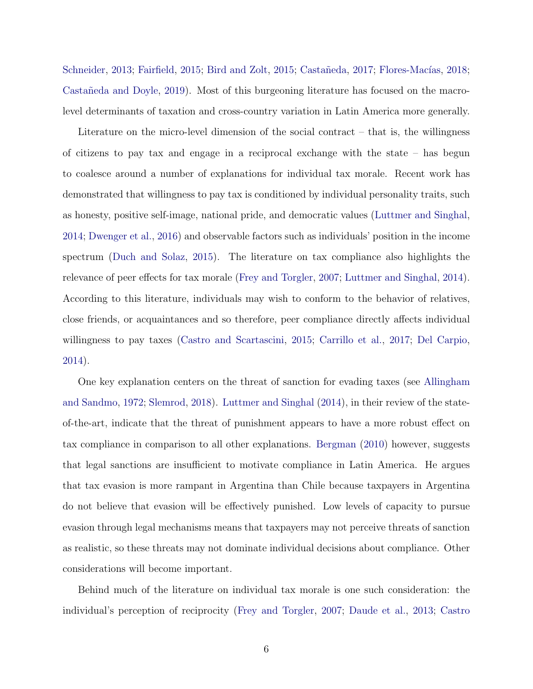[Schneider,](#page-38-4) [2013;](#page-38-4) [Fairfield,](#page-35-2) [2015;](#page-33-0) [Bird and Zolt,](#page-33-0) 2015; Castañeda, [2017;](#page-34-3) Flores-Macías, [2018;](#page-36-3) Castañeda and Doyle, [2019\)](#page-34-4). Most of this burgeoning literature has focused on the macrolevel determinants of taxation and cross-country variation in Latin America more generally.

Literature on the micro-level dimension of the social contract – that is, the willingness of citizens to pay tax and engage in a reciprocal exchange with the state – has begun to coalesce around a number of explanations for individual tax morale. Recent work has demonstrated that willingness to pay tax is conditioned by individual personality traits, such as honesty, positive self-image, national pride, and democratic values [\(Luttmer and Singhal,](#page-37-3) [2014;](#page-37-3) [Dwenger et al.,](#page-35-3) [2016\)](#page-35-3) and observable factors such as individuals' position in the income spectrum [\(Duch and Solaz,](#page-35-0) [2015\)](#page-35-0). The literature on tax compliance also highlights the relevance of peer effects for tax morale [\(Frey and Torgler,](#page-36-4) [2007;](#page-36-4) [Luttmer and Singhal,](#page-37-3) [2014\)](#page-37-3). According to this literature, individuals may wish to conform to the behavior of relatives, close friends, or acquaintances and so therefore, peer compliance directly affects individual willingness to pay taxes [\(Castro and Scartascini,](#page-34-5) [2015;](#page-34-5) [Carrillo et al.,](#page-34-6) [2017;](#page-34-6) [Del Carpio,](#page-35-4) [2014\)](#page-35-4).

One key explanation centers on the threat of sanction for evading taxes (see [Allingham](#page-33-4) [and Sandmo,](#page-33-4) [1972;](#page-33-4) [Slemrod,](#page-38-6) [2018\)](#page-38-6). [Luttmer and Singhal](#page-37-3) [\(2014\)](#page-37-3), in their review of the stateof-the-art, indicate that the threat of punishment appears to have a more robust effect on tax compliance in comparison to all other explanations. [Bergman](#page-33-2) [\(2010\)](#page-33-2) however, suggests that legal sanctions are insufficient to motivate compliance in Latin America. He argues that tax evasion is more rampant in Argentina than Chile because taxpayers in Argentina do not believe that evasion will be effectively punished. Low levels of capacity to pursue evasion through legal mechanisms means that taxpayers may not perceive threats of sanction as realistic, so these threats may not dominate individual decisions about compliance. Other considerations will become important.

Behind much of the literature on individual tax morale is one such consideration: the individual's perception of reciprocity [\(Frey and Torgler,](#page-36-4) [2007;](#page-36-4) [Daude et al.,](#page-35-5) [2013;](#page-35-5) [Castro](#page-34-5)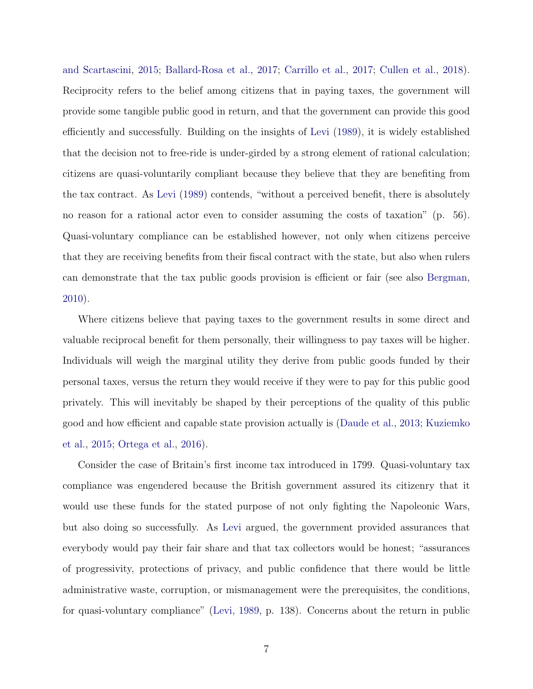[and Scartascini,](#page-34-5) [2015;](#page-34-5) [Ballard-Rosa et al.,](#page-33-1) [2017;](#page-33-1) [Carrillo et al.,](#page-34-6) [2017;](#page-34-6) [Cullen et al.,](#page-34-7) [2018\)](#page-34-7). Reciprocity refers to the belief among citizens that in paying taxes, the government will provide some tangible public good in return, and that the government can provide this good efficiently and successfully. Building on the insights of [Levi](#page-37-0) [\(1989\)](#page-37-0), it is widely established that the decision not to free-ride is under-girded by a strong element of rational calculation; citizens are quasi-voluntarily compliant because they believe that they are benefiting from the tax contract. As [Levi](#page-37-0) [\(1989\)](#page-37-0) contends, "without a perceived benefit, there is absolutely no reason for a rational actor even to consider assuming the costs of taxation" (p. 56). Quasi-voluntary compliance can be established however, not only when citizens perceive that they are receiving benefits from their fiscal contract with the state, but also when rulers can demonstrate that the tax public goods provision is efficient or fair (see also [Bergman,](#page-33-2) [2010\)](#page-33-2).

Where citizens believe that paying taxes to the government results in some direct and valuable reciprocal benefit for them personally, their willingness to pay taxes will be higher. Individuals will weigh the marginal utility they derive from public goods funded by their personal taxes, versus the return they would receive if they were to pay for this public good privately. This will inevitably be shaped by their perceptions of the quality of this public good and how efficient and capable state provision actually is [\(Daude et al.,](#page-35-5) [2013;](#page-35-5) [Kuziemko](#page-37-4) [et al.,](#page-37-4) [2015;](#page-37-4) [Ortega et al.,](#page-37-5) [2016\)](#page-37-5).

Consider the case of Britain's first income tax introduced in 1799. Quasi-voluntary tax compliance was engendered because the British government assured its citizenry that it would use these funds for the stated purpose of not only fighting the Napoleonic Wars, but also doing so successfully. As [Levi](#page-37-0) argued, the government provided assurances that everybody would pay their fair share and that tax collectors would be honest; "assurances of progressivity, protections of privacy, and public confidence that there would be little administrative waste, corruption, or mismanagement were the prerequisites, the conditions, for quasi-voluntary compliance" [\(Levi,](#page-37-0) [1989,](#page-37-0) p. 138). Concerns about the return in public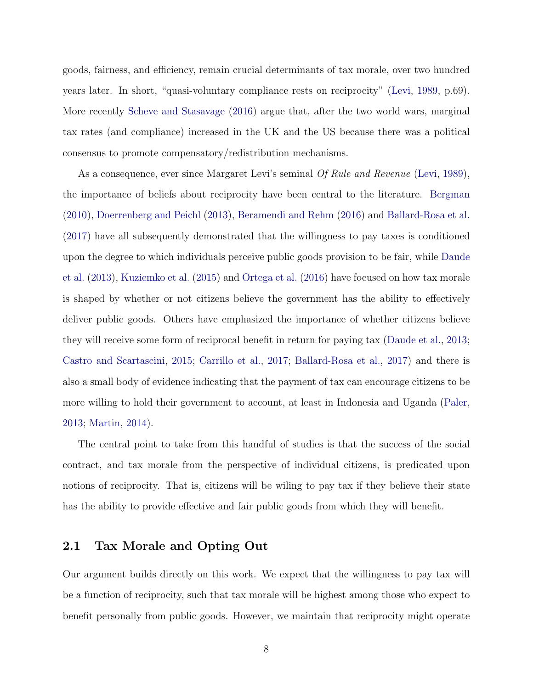goods, fairness, and efficiency, remain crucial determinants of tax morale, over two hundred years later. In short, "quasi-voluntary compliance rests on reciprocity" [\(Levi,](#page-37-0) [1989,](#page-37-0) p.69). More recently [Scheve and Stasavage](#page-38-7) [\(2016\)](#page-38-7) argue that, after the two world wars, marginal tax rates (and compliance) increased in the UK and the US because there was a political consensus to promote compensatory/redistribution mechanisms.

As a consequence, ever since Margaret Levi's seminal *Of Rule and Revenue* [\(Levi,](#page-37-0) [1989\)](#page-37-0), the importance of beliefs about reciprocity have been central to the literature. [Bergman](#page-33-2) [\(2010\)](#page-33-2), [Doerrenberg and Peichl](#page-35-6) [\(2013\)](#page-35-6), [Beramendi and Rehm](#page-33-5) [\(2016\)](#page-33-5) and [Ballard-Rosa et al.](#page-33-1) [\(2017\)](#page-33-1) have all subsequently demonstrated that the willingness to pay taxes is conditioned upon the degree to which individuals perceive public goods provision to be fair, while [Daude](#page-35-5) [et al.](#page-35-5) [\(2013\)](#page-35-5), [Kuziemko et al.](#page-37-4) [\(2015\)](#page-37-4) and [Ortega et al.](#page-37-5) [\(2016\)](#page-37-5) have focused on how tax morale is shaped by whether or not citizens believe the government has the ability to effectively deliver public goods. Others have emphasized the importance of whether citizens believe they will receive some form of reciprocal benefit in return for paying tax [\(Daude et al.,](#page-35-5) [2013;](#page-35-5) [Castro and Scartascini,](#page-34-5) [2015;](#page-34-5) [Carrillo et al.,](#page-34-6) [2017;](#page-34-6) [Ballard-Rosa et al.,](#page-33-1) [2017\)](#page-33-1) and there is also a small body of evidence indicating that the payment of tax can encourage citizens to be more willing to hold their government to account, at least in Indonesia and Uganda [\(Paler,](#page-37-8) [2013;](#page-37-8) [Martin,](#page-37-9) [2014\)](#page-37-9).

The central point to take from this handful of studies is that the success of the social contract, and tax morale from the perspective of individual citizens, is predicated upon notions of reciprocity. That is, citizens will be wiling to pay tax if they believe their state has the ability to provide effective and fair public goods from which they will benefit.

#### <span id="page-7-0"></span>2.1 Tax Morale and Opting Out

Our argument builds directly on this work. We expect that the willingness to pay tax will be a function of reciprocity, such that tax morale will be highest among those who expect to benefit personally from public goods. However, we maintain that reciprocity might operate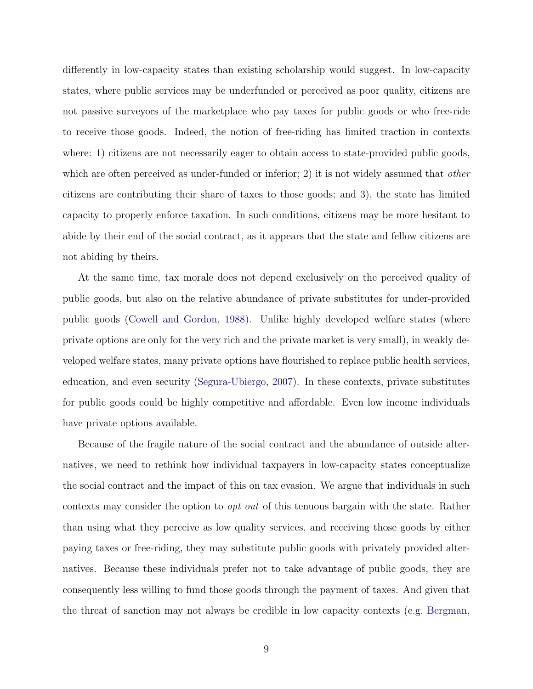differently in low-capacity states than existing scholarship would suggest. In low-capacity states, where public services may be underfunded or perceived as poor quality, citizens are not passive surveyors of the marketplace who pay taxes for public goods or who free-ride to receive those goods. Indeed, the notion of free-riding has limited traction in contexts where: 1) citizens are not necessarily eager to obtain access to state-provided public goods, which are often perceived as under-funded or inferior; 2) it is not widely assumed that *other* citizens are contributing their share of taxes to those goods; and 3), the state has limited capacity to properly enforce taxation. In such conditions, citizens may be more hesitant to abide by their end of the social contract, as it appears that the state and fellow citizens are not abiding by theirs.

At the same time, tax morale does not depend exclusively on the perceived quality of public goods, but also on the relative abundance of private substitutes for under-provided public goods [\(Cowell and Gordon,](#page-34-8) [1988\)](#page-34-8). Unlike highly developed welfare states (where private options are only for the very rich and the private market is very small), in weakly developed welfare states, many private options have flourished to replace public health services, education, and even security [\(Segura-Ubiergo,](#page-38-8) [2007\)](#page-38-8). In these contexts, private substitutes for public goods could be highly competitive and affordable. Even low income individuals have private options available.

Because of the fragile nature of the social contract and the abundance of outside alternatives, we need to rethink how individual taxpayers in low-capacity states conceptualize the social contract and the impact of this on tax evasion. We argue that individuals in such contexts may consider the option to opt out of this tenuous bargain with the state. Rather than using what they perceive as low quality services, and receiving those goods by either paying taxes or free-riding, they may substitute public goods with privately provided alternatives. Because these individuals prefer not to take advantage of public goods, they are consequently less willing to fund those goods through the payment of taxes. And given that the threat of sanction may not always be credible in low capacity contexts (e.g. [Bergman,](#page-33-2)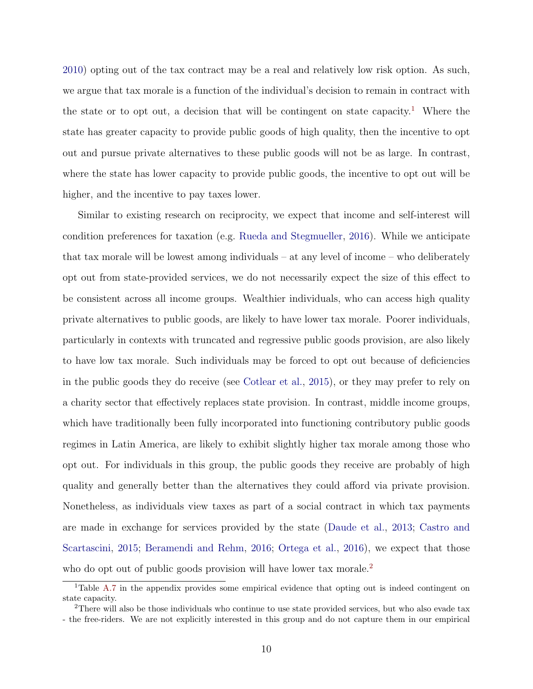[2010\)](#page-33-2) opting out of the tax contract may be a real and relatively low risk option. As such, we argue that tax morale is a function of the individual's decision to remain in contract with the state or to opt out, a decision that will be contingent on state capacity.<sup>[1](#page-0-0)</sup> Where the state has greater capacity to provide public goods of high quality, then the incentive to opt out and pursue private alternatives to these public goods will not be as large. In contrast, where the state has lower capacity to provide public goods, the incentive to opt out will be higher, and the incentive to pay taxes lower.

Similar to existing research on reciprocity, we expect that income and self-interest will condition preferences for taxation (e.g. [Rueda and Stegmueller,](#page-38-9) [2016\)](#page-38-9). While we anticipate that tax morale will be lowest among individuals – at any level of income – who deliberately opt out from state-provided services, we do not necessarily expect the size of this effect to be consistent across all income groups. Wealthier individuals, who can access high quality private alternatives to public goods, are likely to have lower tax morale. Poorer individuals, particularly in contexts with truncated and regressive public goods provision, are also likely to have low tax morale. Such individuals may be forced to opt out because of deficiencies in the public goods they do receive (see [Cotlear et al.,](#page-34-9) [2015\)](#page-34-9), or they may prefer to rely on a charity sector that effectively replaces state provision. In contrast, middle income groups, which have traditionally been fully incorporated into functioning contributory public goods regimes in Latin America, are likely to exhibit slightly higher tax morale among those who opt out. For individuals in this group, the public goods they receive are probably of high quality and generally better than the alternatives they could afford via private provision. Nonetheless, as individuals view taxes as part of a social contract in which tax payments are made in exchange for services provided by the state [\(Daude et al.,](#page-35-5) [2013;](#page-35-5) [Castro and](#page-34-5) [Scartascini,](#page-34-5) [2015;](#page-34-5) [Beramendi and Rehm,](#page-33-5) [2016;](#page-33-5) [Ortega et al.,](#page-37-5) [2016\)](#page-37-5), we expect that those who do opt out of public goods provision will have lower tax morale.<sup>[2](#page-0-0)</sup>

<sup>1</sup>Table [A.7](#page-48-0) in the appendix provides some empirical evidence that opting out is indeed contingent on state capacity.

<sup>&</sup>lt;sup>2</sup>There will also be those individuals who continue to use state provided services, but who also evade tax - the free-riders. We are not explicitly interested in this group and do not capture them in our empirical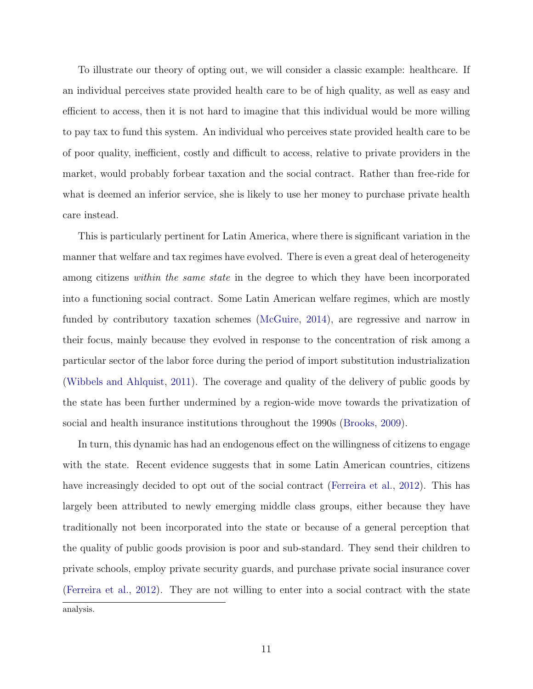To illustrate our theory of opting out, we will consider a classic example: healthcare. If an individual perceives state provided health care to be of high quality, as well as easy and efficient to access, then it is not hard to imagine that this individual would be more willing to pay tax to fund this system. An individual who perceives state provided health care to be of poor quality, inefficient, costly and difficult to access, relative to private providers in the market, would probably forbear taxation and the social contract. Rather than free-ride for what is deemed an inferior service, she is likely to use her money to purchase private health care instead.

This is particularly pertinent for Latin America, where there is significant variation in the manner that welfare and tax regimes have evolved. There is even a great deal of heterogeneity among citizens *within the same state* in the degree to which they have been incorporated into a functioning social contract. Some Latin American welfare regimes, which are mostly funded by contributory taxation schemes [\(McGuire,](#page-37-2) [2014\)](#page-37-2), are regressive and narrow in their focus, mainly because they evolved in response to the concentration of risk among a particular sector of the labor force during the period of import substitution industrialization [\(Wibbels and Ahlquist,](#page-38-10) [2011\)](#page-38-10). The coverage and quality of the delivery of public goods by the state has been further undermined by a region-wide move towards the privatization of social and health insurance institutions throughout the 1990s [\(Brooks,](#page-34-10) [2009\)](#page-34-10).

In turn, this dynamic has had an endogenous effect on the willingness of citizens to engage with the state. Recent evidence suggests that in some Latin American countries, citizens have increasingly decided to opt out of the social contract [\(Ferreira et al.,](#page-35-7) [2012\)](#page-35-7). This has largely been attributed to newly emerging middle class groups, either because they have traditionally not been incorporated into the state or because of a general perception that the quality of public goods provision is poor and sub-standard. They send their children to private schools, employ private security guards, and purchase private social insurance cover [\(Ferreira et al.,](#page-35-7) [2012\)](#page-35-7). They are not willing to enter into a social contract with the state analysis.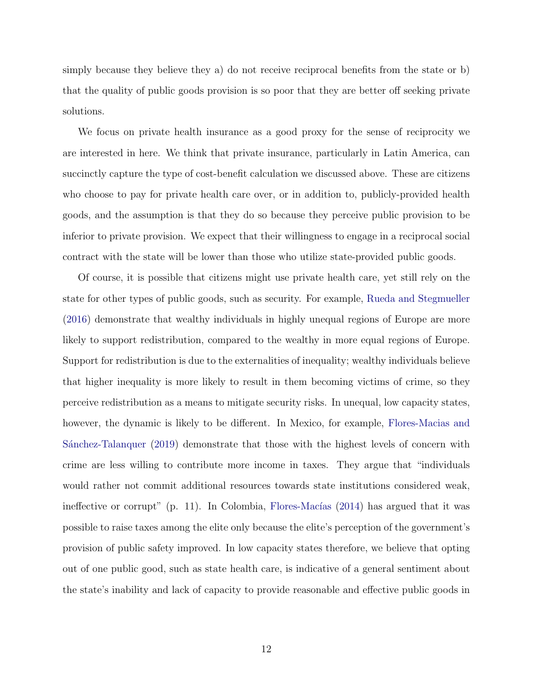simply because they believe they a) do not receive reciprocal benefits from the state or b) that the quality of public goods provision is so poor that they are better off seeking private solutions.

We focus on private health insurance as a good proxy for the sense of reciprocity we are interested in here. We think that private insurance, particularly in Latin America, can succinctly capture the type of cost-benefit calculation we discussed above. These are citizens who choose to pay for private health care over, or in addition to, publicly-provided health goods, and the assumption is that they do so because they perceive public provision to be inferior to private provision. We expect that their willingness to engage in a reciprocal social contract with the state will be lower than those who utilize state-provided public goods.

Of course, it is possible that citizens might use private health care, yet still rely on the state for other types of public goods, such as security. For example, [Rueda and Stegmueller](#page-38-9) [\(2016\)](#page-38-9) demonstrate that wealthy individuals in highly unequal regions of Europe are more likely to support redistribution, compared to the wealthy in more equal regions of Europe. Support for redistribution is due to the externalities of inequality; wealthy individuals believe that higher inequality is more likely to result in them becoming victims of crime, so they perceive redistribution as a means to mitigate security risks. In unequal, low capacity states, however, the dynamic is likely to be different. In Mexico, for example, [Flores-Macias and](#page-36-5) Sánchez-Talanquer [\(2019\)](#page-36-5) demonstrate that those with the highest levels of concern with crime are less willing to contribute more income in taxes. They argue that "individuals would rather not commit additional resources towards state institutions considered weak, ineffective or corrupt" (p. 11). In Colombia, Flores-Macías [\(2014\)](#page-36-6) has argued that it was possible to raise taxes among the elite only because the elite's perception of the government's provision of public safety improved. In low capacity states therefore, we believe that opting out of one public good, such as state health care, is indicative of a general sentiment about the state's inability and lack of capacity to provide reasonable and effective public goods in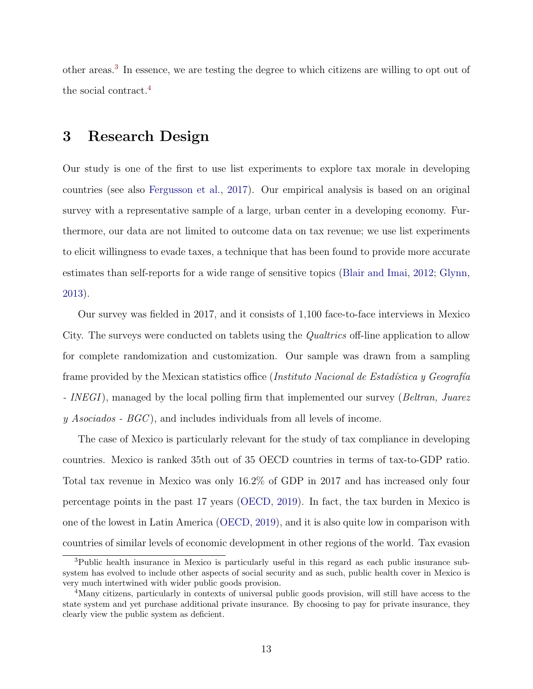other areas.<sup>[3](#page-0-0)</sup> In essence, we are testing the degree to which citizens are willing to opt out of the social contract.<sup>[4](#page-0-0)</sup>

### 3 Research Design

Our study is one of the first to use list experiments to explore tax morale in developing countries (see also [Fergusson et al.,](#page-35-8) [2017\)](#page-35-8). Our empirical analysis is based on an original survey with a representative sample of a large, urban center in a developing economy. Furthermore, our data are not limited to outcome data on tax revenue; we use list experiments to elicit willingness to evade taxes, a technique that has been found to provide more accurate estimates than self-reports for a wide range of sensitive topics [\(Blair and Imai,](#page-33-6) [2012;](#page-33-6) [Glynn,](#page-36-7) [2013\)](#page-36-7).

Our survey was fielded in 2017, and it consists of 1,100 face-to-face interviews in Mexico City. The surveys were conducted on tablets using the Qualtrics off-line application to allow for complete randomization and customization. Our sample was drawn from a sampling frame provided by the Mexican statistics office (*Instituto Nacional de Estadística y Geografía* - *INEGI*), managed by the local polling firm that implemented our survey (Beltran, Juarez  $y$  Asociados -  $BGC$ ), and includes individuals from all levels of income.

The case of Mexico is particularly relevant for the study of tax compliance in developing countries. Mexico is ranked 35th out of 35 OECD countries in terms of tax-to-GDP ratio. Total tax revenue in Mexico was only 16.2% of GDP in 2017 and has increased only four percentage points in the past 17 years [\(OECD,](#page-37-10) [2019\)](#page-37-10). In fact, the tax burden in Mexico is one of the lowest in Latin America [\(OECD,](#page-37-10) [2019\)](#page-37-10), and it is also quite low in comparison with countries of similar levels of economic development in other regions of the world. Tax evasion

<sup>3</sup>Public health insurance in Mexico is particularly useful in this regard as each public insurance subsystem has evolved to include other aspects of social security and as such, public health cover in Mexico is very much intertwined with wider public goods provision.

<sup>4</sup>Many citizens, particularly in contexts of universal public goods provision, will still have access to the state system and yet purchase additional private insurance. By choosing to pay for private insurance, they clearly view the public system as deficient.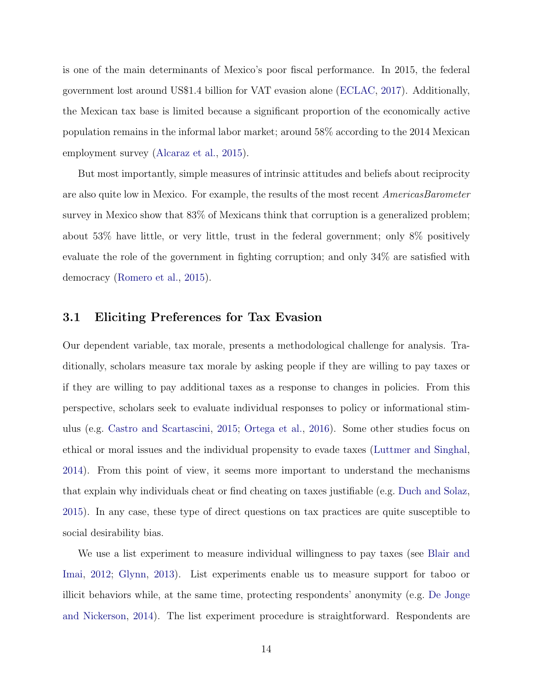is one of the main determinants of Mexico's poor fiscal performance. In 2015, the federal government lost around US\$1.4 billion for VAT evasion alone [\(ECLAC,](#page-35-1) [2017\)](#page-35-1). Additionally, the Mexican tax base is limited because a significant proportion of the economically active population remains in the informal labor market; around 58% according to the 2014 Mexican employment survey [\(Alcaraz et al.,](#page-33-7) [2015\)](#page-33-7).

But most importantly, simple measures of intrinsic attitudes and beliefs about reciprocity are also quite low in Mexico. For example, the results of the most recent AmericasBarometer survey in Mexico show that 83% of Mexicans think that corruption is a generalized problem; about 53% have little, or very little, trust in the federal government; only 8% positively evaluate the role of the government in fighting corruption; and only 34% are satisfied with democracy [\(Romero et al.,](#page-37-6) [2015\)](#page-37-6).

#### 3.1 Eliciting Preferences for Tax Evasion

Our dependent variable, tax morale, presents a methodological challenge for analysis. Traditionally, scholars measure tax morale by asking people if they are willing to pay taxes or if they are willing to pay additional taxes as a response to changes in policies. From this perspective, scholars seek to evaluate individual responses to policy or informational stimulus (e.g. [Castro and Scartascini,](#page-34-5) [2015;](#page-34-5) [Ortega et al.,](#page-37-5) [2016\)](#page-37-5). Some other studies focus on ethical or moral issues and the individual propensity to evade taxes [\(Luttmer and Singhal,](#page-37-3) [2014\)](#page-37-3). From this point of view, it seems more important to understand the mechanisms that explain why individuals cheat or find cheating on taxes justifiable (e.g. [Duch and Solaz,](#page-35-0) [2015\)](#page-35-0). In any case, these type of direct questions on tax practices are quite susceptible to social desirability bias.

We use a list experiment to measure individual willingness to pay taxes (see [Blair and](#page-33-6) [Imai,](#page-33-6) [2012;](#page-33-6) [Glynn,](#page-36-7) [2013\)](#page-36-7). List experiments enable us to measure support for taboo or illicit behaviors while, at the same time, protecting respondents' anonymity (e.g. [De Jonge](#page-35-9) [and Nickerson,](#page-35-9) [2014\)](#page-35-9). The list experiment procedure is straightforward. Respondents are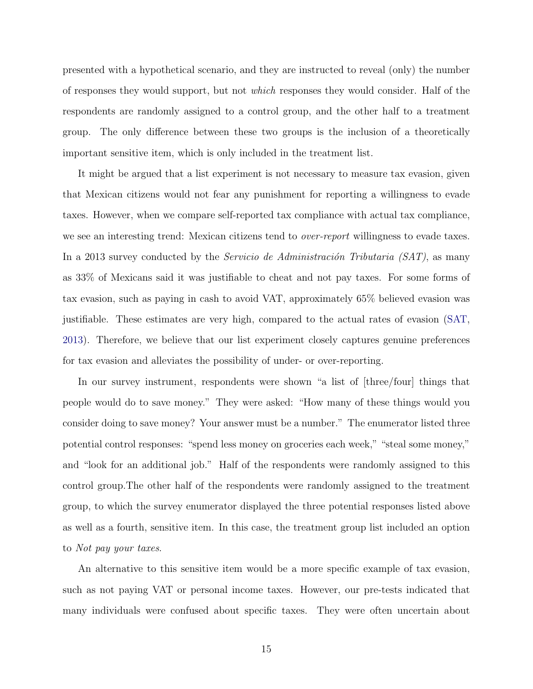presented with a hypothetical scenario, and they are instructed to reveal (only) the number of responses they would support, but not which responses they would consider. Half of the respondents are randomly assigned to a control group, and the other half to a treatment group. The only difference between these two groups is the inclusion of a theoretically important sensitive item, which is only included in the treatment list.

It might be argued that a list experiment is not necessary to measure tax evasion, given that Mexican citizens would not fear any punishment for reporting a willingness to evade taxes. However, when we compare self-reported tax compliance with actual tax compliance, we see an interesting trend: Mexican citizens tend to *over-report* willingness to evade taxes. In a 2013 survey conducted by the *Servicio de Administración Tributaria (SAT)*, as many as 33% of Mexicans said it was justifiable to cheat and not pay taxes. For some forms of tax evasion, such as paying in cash to avoid VAT, approximately 65% believed evasion was justifiable. These estimates are very high, compared to the actual rates of evasion [\(SAT,](#page-38-11) [2013\)](#page-38-11). Therefore, we believe that our list experiment closely captures genuine preferences for tax evasion and alleviates the possibility of under- or over-reporting.

In our survey instrument, respondents were shown "a list of [three/four] things that people would do to save money." They were asked: "How many of these things would you consider doing to save money? Your answer must be a number." The enumerator listed three potential control responses: "spend less money on groceries each week," "steal some money," and "look for an additional job." Half of the respondents were randomly assigned to this control group.The other half of the respondents were randomly assigned to the treatment group, to which the survey enumerator displayed the three potential responses listed above as well as a fourth, sensitive item. In this case, the treatment group list included an option to Not pay your taxes.

An alternative to this sensitive item would be a more specific example of tax evasion, such as not paying VAT or personal income taxes. However, our pre-tests indicated that many individuals were confused about specific taxes. They were often uncertain about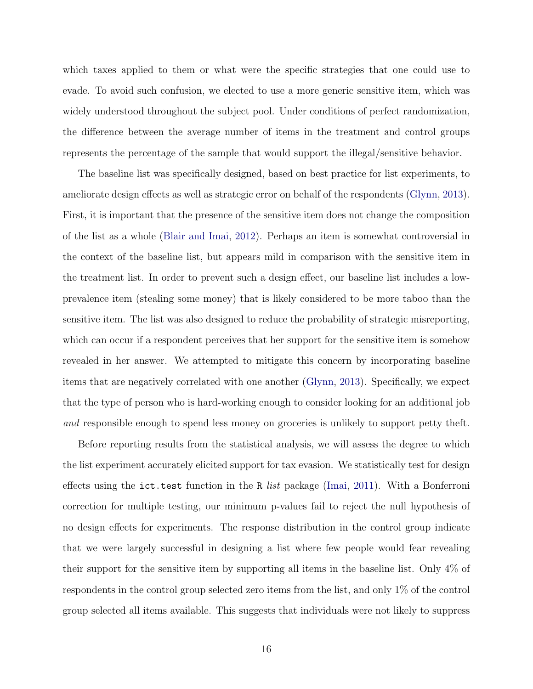which taxes applied to them or what were the specific strategies that one could use to evade. To avoid such confusion, we elected to use a more generic sensitive item, which was widely understood throughout the subject pool. Under conditions of perfect randomization, the difference between the average number of items in the treatment and control groups represents the percentage of the sample that would support the illegal/sensitive behavior.

The baseline list was specifically designed, based on best practice for list experiments, to ameliorate design effects as well as strategic error on behalf of the respondents [\(Glynn,](#page-36-7) [2013\)](#page-36-7). First, it is important that the presence of the sensitive item does not change the composition of the list as a whole [\(Blair and Imai,](#page-33-6) [2012\)](#page-33-6). Perhaps an item is somewhat controversial in the context of the baseline list, but appears mild in comparison with the sensitive item in the treatment list. In order to prevent such a design effect, our baseline list includes a lowprevalence item (stealing some money) that is likely considered to be more taboo than the sensitive item. The list was also designed to reduce the probability of strategic misreporting, which can occur if a respondent perceives that her support for the sensitive item is somehow revealed in her answer. We attempted to mitigate this concern by incorporating baseline items that are negatively correlated with one another [\(Glynn,](#page-36-7) [2013\)](#page-36-7). Specifically, we expect that the type of person who is hard-working enough to consider looking for an additional job and responsible enough to spend less money on groceries is unlikely to support petty theft.

Before reporting results from the statistical analysis, we will assess the degree to which the list experiment accurately elicited support for tax evasion. We statistically test for design effects using the ict.test function in the R *list* package [\(Imai,](#page-36-8) [2011\)](#page-36-8). With a Bonferroni correction for multiple testing, our minimum p-values fail to reject the null hypothesis of no design effects for experiments. The response distribution in the control group indicate that we were largely successful in designing a list where few people would fear revealing their support for the sensitive item by supporting all items in the baseline list. Only 4% of respondents in the control group selected zero items from the list, and only 1% of the control group selected all items available. This suggests that individuals were not likely to suppress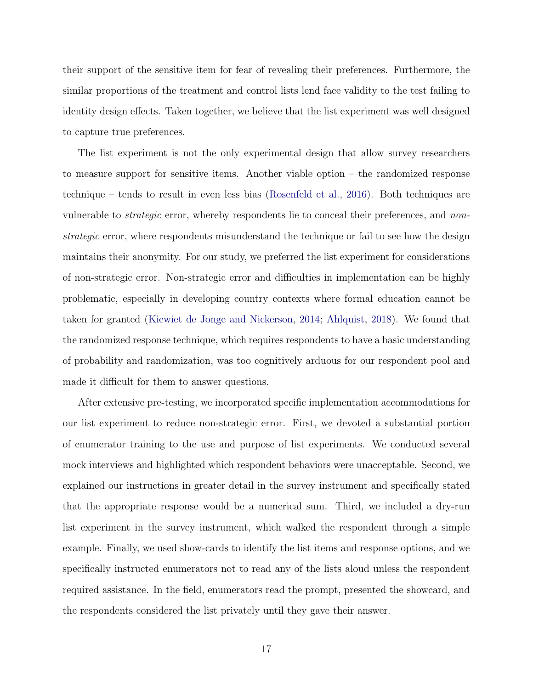their support of the sensitive item for fear of revealing their preferences. Furthermore, the similar proportions of the treatment and control lists lend face validity to the test failing to identity design effects. Taken together, we believe that the list experiment was well designed to capture true preferences.

The list experiment is not the only experimental design that allow survey researchers to measure support for sensitive items. Another viable option – the randomized response technique – tends to result in even less bias [\(Rosenfeld et al.,](#page-38-12) [2016\)](#page-38-12). Both techniques are vulnerable to *strategic* error, whereby respondents lie to conceal their preferences, and nonstrategic error, where respondents misunderstand the technique or fail to see how the design maintains their anonymity. For our study, we preferred the list experiment for considerations of non-strategic error. Non-strategic error and difficulties in implementation can be highly problematic, especially in developing country contexts where formal education cannot be taken for granted [\(Kiewiet de Jonge and Nickerson,](#page-36-9) [2014;](#page-36-9) [Ahlquist,](#page-33-8) [2018\)](#page-33-8). We found that the randomized response technique, which requires respondents to have a basic understanding of probability and randomization, was too cognitively arduous for our respondent pool and made it difficult for them to answer questions.

After extensive pre-testing, we incorporated specific implementation accommodations for our list experiment to reduce non-strategic error. First, we devoted a substantial portion of enumerator training to the use and purpose of list experiments. We conducted several mock interviews and highlighted which respondent behaviors were unacceptable. Second, we explained our instructions in greater detail in the survey instrument and specifically stated that the appropriate response would be a numerical sum. Third, we included a dry-run list experiment in the survey instrument, which walked the respondent through a simple example. Finally, we used show-cards to identify the list items and response options, and we specifically instructed enumerators not to read any of the lists aloud unless the respondent required assistance. In the field, enumerators read the prompt, presented the showcard, and the respondents considered the list privately until they gave their answer.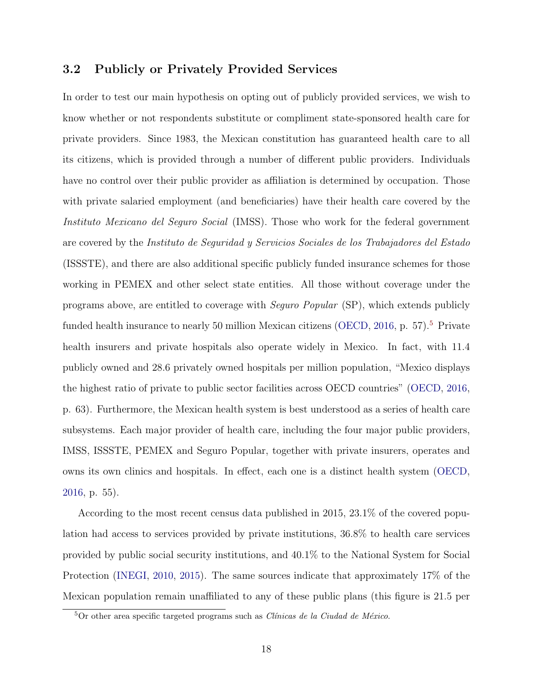#### 3.2 Publicly or Privately Provided Services

In order to test our main hypothesis on opting out of publicly provided services, we wish to know whether or not respondents substitute or compliment state-sponsored health care for private providers. Since 1983, the Mexican constitution has guaranteed health care to all its citizens, which is provided through a number of different public providers. Individuals have no control over their public provider as affiliation is determined by occupation. Those with private salaried employment (and beneficiaries) have their health care covered by the Instituto Mexicano del Seguro Social (IMSS). Those who work for the federal government are covered by the Instituto de Seguridad y Servicios Sociales de los Trabajadores del Estado (ISSSTE), and there are also additional specific publicly funded insurance schemes for those working in PEMEX and other select state entities. All those without coverage under the programs above, are entitled to coverage with Seguro Popular (SP), which extends publicly funded health insurance to nearly 50 million Mexican citizens [\(OECD,](#page-37-11) [2016,](#page-37-11) p. [5](#page-0-0)7).<sup>5</sup> Private health insurers and private hospitals also operate widely in Mexico. In fact, with 11.4 publicly owned and 28.6 privately owned hospitals per million population, "Mexico displays the highest ratio of private to public sector facilities across OECD countries" [\(OECD,](#page-37-11) [2016,](#page-37-11) p. 63). Furthermore, the Mexican health system is best understood as a series of health care subsystems. Each major provider of health care, including the four major public providers, IMSS, ISSSTE, PEMEX and Seguro Popular, together with private insurers, operates and owns its own clinics and hospitals. In effect, each one is a distinct health system [\(OECD,](#page-37-11) [2016,](#page-37-11) p. 55).

According to the most recent census data published in 2015, 23.1% of the covered population had access to services provided by private institutions, 36.8% to health care services provided by public social security institutions, and 40.1% to the National System for Social Protection [\(INEGI,](#page-36-10) [2010,](#page-36-10) [2015\)](#page-36-11). The same sources indicate that approximately 17% of the Mexican population remain unaffiliated to any of these public plans (this figure is 21.5 per

 $5$ Or other area specific targeted programs such as *Clínicas de la Ciudad de México*.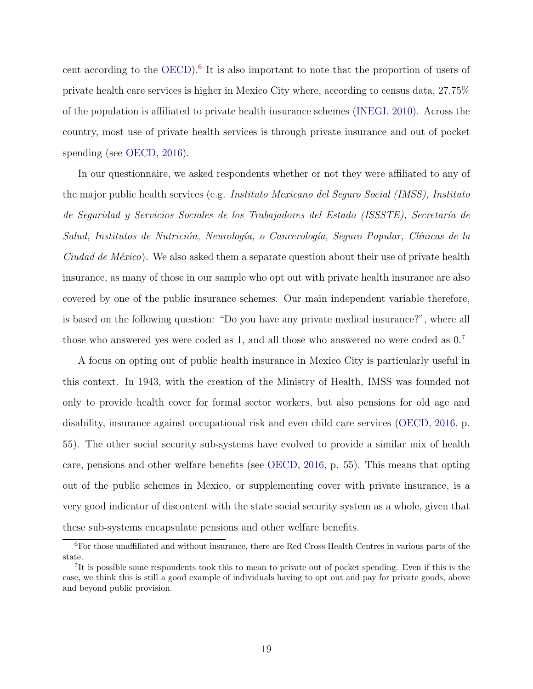cent according to the [OECD\)](#page-37-11).<sup>[6](#page-0-0)</sup> It is also important to note that the proportion of users of private health care services is higher in Mexico City where, according to census data, 27.75% of the population is affiliated to private health insurance schemes [\(INEGI,](#page-36-10) [2010\)](#page-36-10). Across the country, most use of private health services is through private insurance and out of pocket spending (see [OECD,](#page-37-11) [2016\)](#page-37-11).

In our questionnaire, we asked respondents whether or not they were affiliated to any of the major public health services (e.g. Instituto Mexicano del Seguro Social (IMSS), Instituto de Seguridad y Servicios Sociales de los Trabajadores del Estado (ISSSTE), Secretaría de Salud, Institutos de Nutrición, Neurología, o Cancerología, Seguro Popular, Clínicas de la *Ciudad de México*). We also asked them a separate question about their use of private health insurance, as many of those in our sample who opt out with private health insurance are also covered by one of the public insurance schemes. Our main independent variable therefore, is based on the following question: "Do you have any private medical insurance?", where all those who answered yes were coded as 1, and all those who answered no were coded as  $0<sup>7</sup>$  $0<sup>7</sup>$  $0<sup>7</sup>$ 

A focus on opting out of public health insurance in Mexico City is particularly useful in this context. In 1943, with the creation of the Ministry of Health, IMSS was founded not only to provide health cover for formal sector workers, but also pensions for old age and disability, insurance against occupational risk and even child care services [\(OECD,](#page-37-11) [2016,](#page-37-11) p. 55). The other social security sub-systems have evolved to provide a similar mix of health care, pensions and other welfare benefits (see [OECD,](#page-37-11) [2016,](#page-37-11) p. 55). This means that opting out of the public schemes in Mexico, or supplementing cover with private insurance, is a very good indicator of discontent with the state social security system as a whole, given that these sub-systems encapsulate pensions and other welfare benefits.

<sup>6</sup>For those unaffiliated and without insurance, there are Red Cross Health Centres in various parts of the state.

<sup>7</sup> It is possible some respondents took this to mean to private out of pocket spending. Even if this is the case, we think this is still a good example of individuals having to opt out and pay for private goods, above and beyond public provision.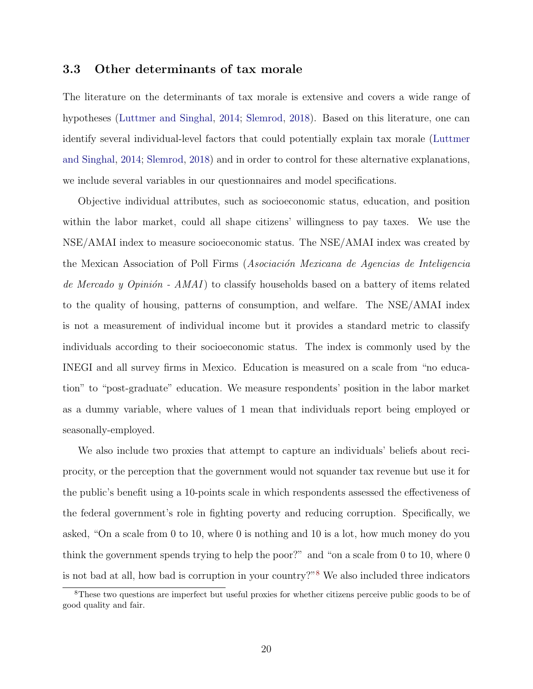#### 3.3 Other determinants of tax morale

The literature on the determinants of tax morale is extensive and covers a wide range of hypotheses [\(Luttmer and Singhal,](#page-37-3) [2014;](#page-37-3) [Slemrod,](#page-38-6) [2018\)](#page-38-6). Based on this literature, one can identify several individual-level factors that could potentially explain tax morale [\(Luttmer](#page-37-3) [and Singhal,](#page-37-3) [2014;](#page-37-3) [Slemrod,](#page-38-6) [2018\)](#page-38-6) and in order to control for these alternative explanations, we include several variables in our questionnaires and model specifications.

Objective individual attributes, such as socioeconomic status, education, and position within the labor market, could all shape citizens' willingness to pay taxes. We use the NSE/AMAI index to measure socioeconomic status. The NSE/AMAI index was created by the Mexican Association of Poll Firms (Asociación Mexicana de Agencias de Inteligencia de Mercado y Opinión - AMAI) to classify households based on a battery of items related to the quality of housing, patterns of consumption, and welfare. The NSE/AMAI index is not a measurement of individual income but it provides a standard metric to classify individuals according to their socioeconomic status. The index is commonly used by the INEGI and all survey firms in Mexico. Education is measured on a scale from "no education" to "post-graduate" education. We measure respondents' position in the labor market as a dummy variable, where values of 1 mean that individuals report being employed or seasonally-employed.

We also include two proxies that attempt to capture an individuals' beliefs about reciprocity, or the perception that the government would not squander tax revenue but use it for the public's benefit using a 10-points scale in which respondents assessed the effectiveness of the federal government's role in fighting poverty and reducing corruption. Specifically, we asked, "On a scale from 0 to 10, where 0 is nothing and 10 is a lot, how much money do you think the government spends trying to help the poor?" and "on a scale from 0 to 10, where 0 is not bad at all, how bad is corruption in your country?"[8](#page-0-0) We also included three indicators

<sup>&</sup>lt;sup>8</sup>These two questions are imperfect but useful proxies for whether citizens perceive public goods to be of good quality and fair.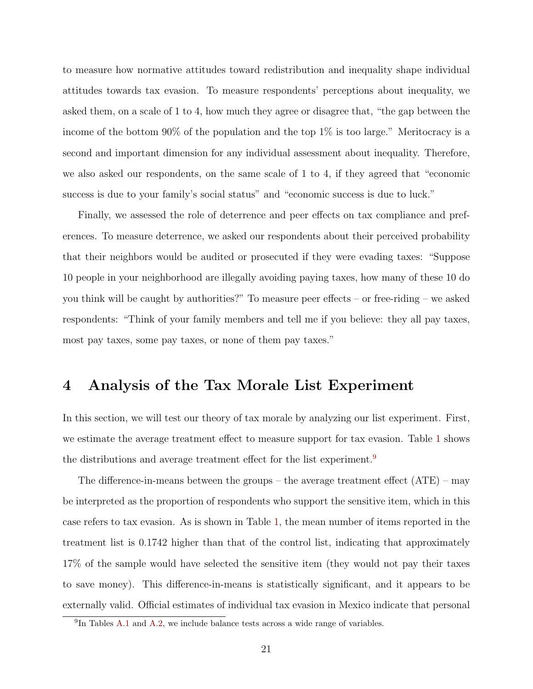to measure how normative attitudes toward redistribution and inequality shape individual attitudes towards tax evasion. To measure respondents' perceptions about inequality, we asked them, on a scale of 1 to 4, how much they agree or disagree that, "the gap between the income of the bottom 90% of the population and the top 1% is too large." Meritocracy is a second and important dimension for any individual assessment about inequality. Therefore, we also asked our respondents, on the same scale of 1 to 4, if they agreed that "economic success is due to your family's social status" and "economic success is due to luck."

Finally, we assessed the role of deterrence and peer effects on tax compliance and preferences. To measure deterrence, we asked our respondents about their perceived probability that their neighbors would be audited or prosecuted if they were evading taxes: "Suppose 10 people in your neighborhood are illegally avoiding paying taxes, how many of these 10 do you think will be caught by authorities?" To measure peer effects – or free-riding – we asked respondents: "Think of your family members and tell me if you believe: they all pay taxes, most pay taxes, some pay taxes, or none of them pay taxes."

### 4 Analysis of the Tax Morale List Experiment

In this section, we will test our theory of tax morale by analyzing our list experiment. First, we estimate the average treatment effect to measure support for tax evasion. Table [1](#page-21-0) shows the distributions and average treatment effect for the list experiment.<sup>[9](#page-0-0)</sup>

The difference-in-means between the groups – the average treatment effect (ATE) – may be interpreted as the proportion of respondents who support the sensitive item, which in this case refers to tax evasion. As is shown in Table [1,](#page-21-0) the mean number of items reported in the treatment list is 0.1742 higher than that of the control list, indicating that approximately 17% of the sample would have selected the sensitive item (they would not pay their taxes to save money). This difference-in-means is statistically significant, and it appears to be externally valid. Official estimates of individual tax evasion in Mexico indicate that personal

<sup>&</sup>lt;sup>9</sup>In Tables [A.1](#page-21-0) and [A.2,](#page-22-0) we include balance tests across a wide range of variables.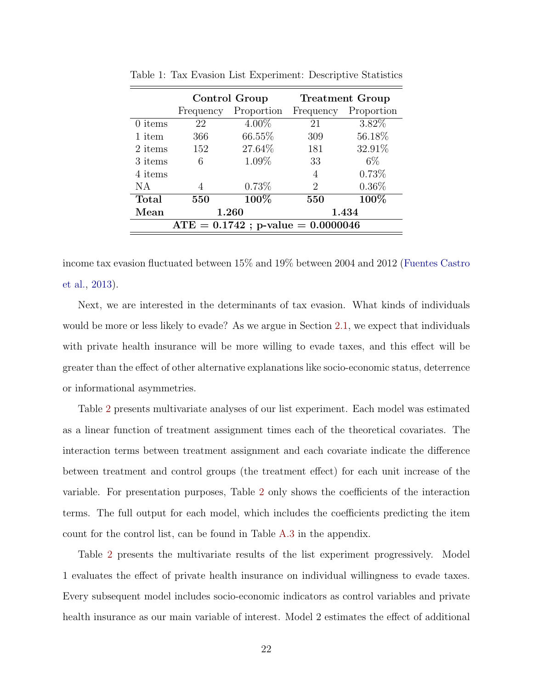|                                      |           | Control Group | <b>Treatment Group</b> |            |  |
|--------------------------------------|-----------|---------------|------------------------|------------|--|
|                                      | Frequency | Proportion    | Frequency              | Proportion |  |
| 0 items                              | 22        | 4.00%         | 21                     | 3.82%      |  |
| 1 item                               | 366       | 66.55%        | 309                    | 56.18%     |  |
| 2 items                              | 152       | 27.64%        | 181                    | 32.91%     |  |
| 3 items                              | 6         | $1.09\%$      | 33                     | $6\%$      |  |
| 4 items                              |           |               | 4                      | 0.73%      |  |
| NA.                                  |           | 0.73%         | 2                      | $0.36\%$   |  |
| Total                                | 550       | 100%          | 550                    | 100%       |  |
| Mean<br>1.260                        |           |               |                        | 1.434      |  |
| $ATE = 0.1742$ ; p-value = 0.0000046 |           |               |                        |            |  |

<span id="page-21-0"></span>Table 1: Tax Evasion List Experiment: Descriptive Statistics

income tax evasion fluctuated between 15% and 19% between 2004 and 2012 [\(Fuentes Castro](#page-36-1) [et al.,](#page-36-1) [2013\)](#page-36-1).

Next, we are interested in the determinants of tax evasion. What kinds of individuals would be more or less likely to evade? As we argue in Section [2.1,](#page-7-0) we expect that individuals with private health insurance will be more willing to evade taxes, and this effect will be greater than the effect of other alternative explanations like socio-economic status, deterrence or informational asymmetries.

Table [2](#page-22-0) presents multivariate analyses of our list experiment. Each model was estimated as a linear function of treatment assignment times each of the theoretical covariates. The interaction terms between treatment assignment and each covariate indicate the difference between treatment and control groups (the treatment effect) for each unit increase of the variable. For presentation purposes, Table [2](#page-22-0) only shows the coefficients of the interaction terms. The full output for each model, which includes the coefficients predicting the item count for the control list, can be found in Table [A.3](#page-24-0) in the appendix.

Table [2](#page-22-0) presents the multivariate results of the list experiment progressively. Model 1 evaluates the effect of private health insurance on individual willingness to evade taxes. Every subsequent model includes socio-economic indicators as control variables and private health insurance as our main variable of interest. Model 2 estimates the effect of additional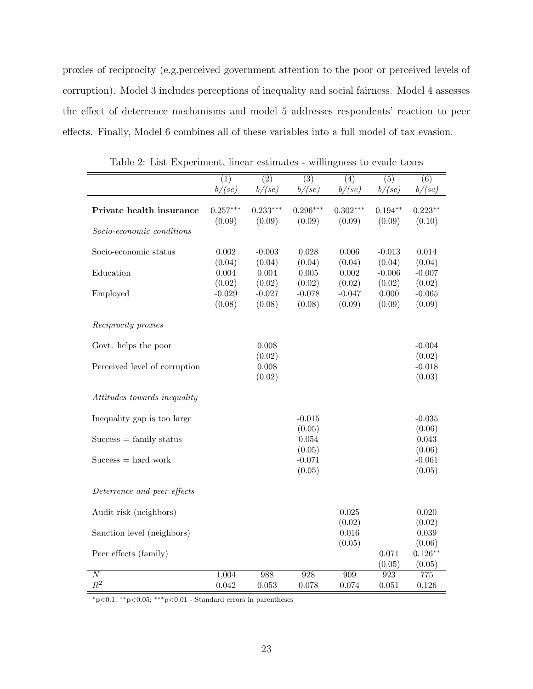proxies of reciprocity (e.g.perceived government attention to the poor or perceived levels of corruption). Model 3 includes perceptions of inequality and social fairness. Model 4 assesses the effect of deterrence mechanisms and model 5 addresses respondents' reaction to peer effects. Finally, Model 6 combines all of these variables into a full model of tax evasion.

|                               | $\overline{(1)}$ | $\overline{(2)}$ | $\overline{(3)}$   | $\overline{(4)}$ | $\overline{(5)}$ | $\overline{(6)}$   |
|-------------------------------|------------------|------------------|--------------------|------------------|------------------|--------------------|
|                               | b/(se)           | b/(se)           | b/(se)             | b/(se)           | b/(se)           | b/(se)             |
| Private health insurance      | $0.257***$       | $0.233***$       | $0.296***$         | $0.302***$       | $0.194**$        | $0.223**$          |
|                               | (0.09)           | (0.09)           | (0.09)             | (0.09)           | (0.09)           | (0.10)             |
| Socio-economic conditions     |                  |                  |                    |                  |                  |                    |
|                               |                  |                  |                    |                  |                  |                    |
| Socio-economic status         | 0.002            | $-0.003$         | 0.028              | 0.006            | $-0.013$         | 0.014              |
|                               | (0.04)           | (0.04)           | (0.04)             | (0.04)           | (0.04)           | (0.04)             |
| Education                     | 0.004            | 0.004            | 0.005              | 0.002            | $-0.006$         | $-0.007$           |
|                               | (0.02)           | (0.02)           | (0.02)             | (0.02)           | (0.02)           | (0.02)             |
| Employed                      | $-0.029$         | $-0.027$         | $-0.078$           | $-0.047$         | 0.000            | $-0.065$           |
|                               | (0.08)           | (0.08)           | (0.08)             | (0.09)           | (0.09)           | (0.09)             |
|                               |                  |                  |                    |                  |                  |                    |
| Reciprocity proxies           |                  |                  |                    |                  |                  |                    |
|                               |                  |                  |                    |                  |                  |                    |
| Govt. helps the poor          |                  | 0.008            |                    |                  |                  | $-0.004$           |
|                               |                  | (0.02)           |                    |                  |                  | (0.02)             |
| Perceived level of corruption |                  | 0.008            |                    |                  |                  | $-0.018$           |
|                               |                  | (0.02)           |                    |                  |                  | (0.03)             |
|                               |                  |                  |                    |                  |                  |                    |
| Attitudes towards inequality  |                  |                  |                    |                  |                  |                    |
|                               |                  |                  |                    |                  |                  |                    |
| Inequality gap is too large   |                  |                  | $-0.015$<br>(0.05) |                  |                  | $-0.035$<br>(0.06) |
| $Success = family status$     |                  |                  | 0.054              |                  |                  | 0.043              |
|                               |                  |                  | (0.05)             |                  |                  | (0.06)             |
| $Success = hard work$         |                  |                  | $-0.071$           |                  |                  | $-0.061$           |
|                               |                  |                  | (0.05)             |                  |                  | (0.05)             |
|                               |                  |                  |                    |                  |                  |                    |
| Deterrence and peer effects   |                  |                  |                    |                  |                  |                    |
|                               |                  |                  |                    |                  |                  |                    |
| Audit risk (neighbors)        |                  |                  |                    | 0.025            |                  | 0.020              |
|                               |                  |                  |                    | (0.02)           |                  | (0.02)             |
| Sanction level (neighbors)    |                  |                  |                    | 0.016            |                  | 0.039              |
|                               |                  |                  |                    | (0.05)           |                  | (0.06)             |
| Peer effects (family)         |                  |                  |                    |                  | 0.071            | $0.126**$          |
|                               |                  |                  |                    |                  | (0.05)           | (0.05)             |
| $\overline{N}$                | 1,004            | 988              | 928                | 909              | 923              | 775                |
| $\mathbb{R}^2$                | 0.042            | 0.053            | 0.078              | 0.074            | 0.051            | 0.126              |

<span id="page-22-0"></span>Table 2: List Experiment, linear estimates - willingness to evade taxes

<sup>∗</sup>p<0.1; ∗∗p<0.05; ∗∗∗p<0.01 - Standard errors in parentheses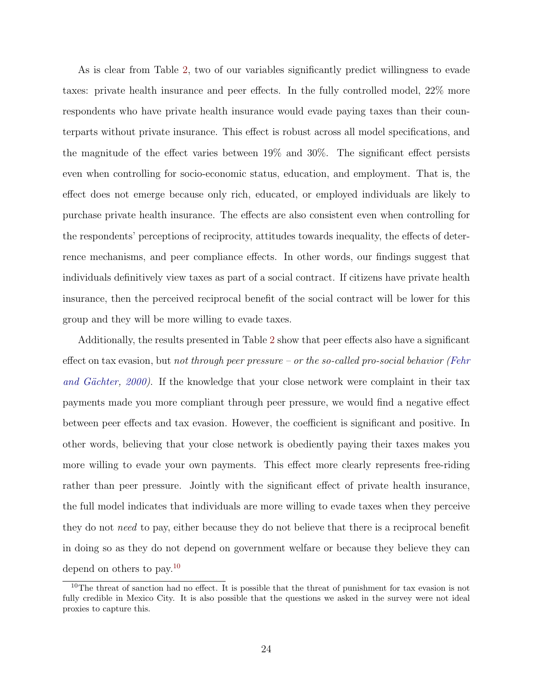As is clear from Table [2,](#page-22-0) two of our variables significantly predict willingness to evade taxes: private health insurance and peer effects. In the fully controlled model, 22% more respondents who have private health insurance would evade paying taxes than their counterparts without private insurance. This effect is robust across all model specifications, and the magnitude of the effect varies between 19% and 30%. The significant effect persists even when controlling for socio-economic status, education, and employment. That is, the effect does not emerge because only rich, educated, or employed individuals are likely to purchase private health insurance. The effects are also consistent even when controlling for the respondents' perceptions of reciprocity, attitudes towards inequality, the effects of deterrence mechanisms, and peer compliance effects. In other words, our findings suggest that individuals definitively view taxes as part of a social contract. If citizens have private health insurance, then the perceived reciprocal benefit of the social contract will be lower for this group and they will be more willing to evade taxes.

Additionally, the results presented in Table [2](#page-22-0) show that peer effects also have a significant effect on tax evasion, but not through peer pressure – or the so-called pro-social behavior [\(Fehr](#page-35-10) and Gächter,  $2000$ . If the knowledge that your close network were complaint in their tax payments made you more compliant through peer pressure, we would find a negative effect between peer effects and tax evasion. However, the coefficient is significant and positive. In other words, believing that your close network is obediently paying their taxes makes you more willing to evade your own payments. This effect more clearly represents free-riding rather than peer pressure. Jointly with the significant effect of private health insurance, the full model indicates that individuals are more willing to evade taxes when they perceive they do not *need* to pay, either because they do not believe that there is a reciprocal benefit in doing so as they do not depend on government welfare or because they believe they can depend on others to pay.<sup>[10](#page-0-0)</sup>

<sup>10</sup>The threat of sanction had no effect. It is possible that the threat of punishment for tax evasion is not fully credible in Mexico City. It is also possible that the questions we asked in the survey were not ideal proxies to capture this.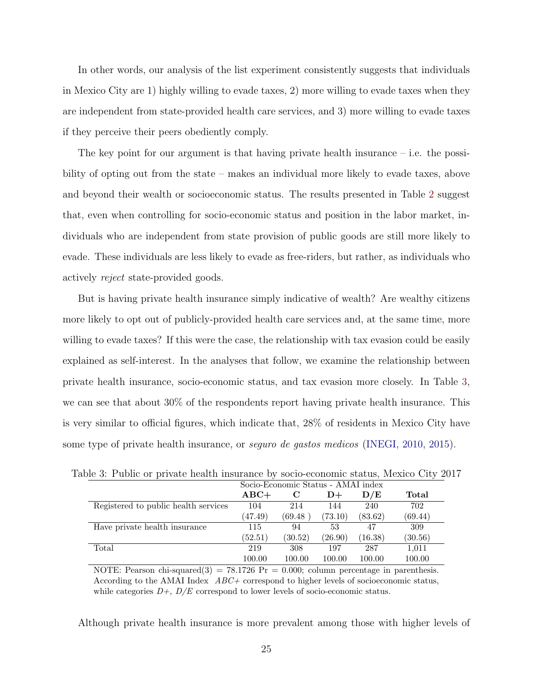In other words, our analysis of the list experiment consistently suggests that individuals in Mexico City are 1) highly willing to evade taxes, 2) more willing to evade taxes when they are independent from state-provided health care services, and 3) more willing to evade taxes if they perceive their peers obediently comply.

The key point for our argument is that having private health insurance  $-$  i.e. the possibility of opting out from the state – makes an individual more likely to evade taxes, above and beyond their wealth or socioeconomic status. The results presented in Table [2](#page-22-0) suggest that, even when controlling for socio-economic status and position in the labor market, individuals who are independent from state provision of public goods are still more likely to evade. These individuals are less likely to evade as free-riders, but rather, as individuals who actively reject state-provided goods.

But is having private health insurance simply indicative of wealth? Are wealthy citizens more likely to opt out of publicly-provided health care services and, at the same time, more willing to evade taxes? If this were the case, the relationship with tax evasion could be easily explained as self-interest. In the analyses that follow, we examine the relationship between private health insurance, socio-economic status, and tax evasion more closely. In Table [3,](#page-24-0) we can see that about 30% of the respondents report having private health insurance. This is very similar to official figures, which indicate that, 28% of residents in Mexico City have some type of private health insurance, or seguro de gastos medicos [\(INEGI,](#page-36-10) [2010,](#page-36-10) [2015\)](#page-36-11).

<span id="page-24-0"></span>

|                                      | Socio-Economic Status - AMAI index |         |         |         |         |  |  |
|--------------------------------------|------------------------------------|---------|---------|---------|---------|--|--|
|                                      | $ABC+$                             | C       | D+      | D/E     | Total   |  |  |
| Registered to public health services | 104                                | 214     | 144     | 240     | 702     |  |  |
|                                      | (47.49)                            | (69.48  | (73.10) | (83.62) | (69.44) |  |  |
| Have private health insurance        | 115                                | 94      | 53      | 47      | 309     |  |  |
|                                      | (52.51)                            | (30.52) | (26.90) | (16.38) | (30.56) |  |  |
| Total                                | 219                                | 308     | 197     | 287     | 1,011   |  |  |
|                                      | 100.00                             | 100.00  | 100.00  | 100.00  | 100.00  |  |  |

Table 3: Public or private health insurance by socio-economic status, Mexico City 2017

NOTE: Pearson chi-squared(3) = 78.1726 Pr = 0.000; column percentage in parenthesis. According to the AMAI Index  $ABC<sub>+</sub>$  correspond to higher levels of socioeconomic status, while categories  $D+$ ,  $D/E$  correspond to lower levels of socio-economic status.

Although private health insurance is more prevalent among those with higher levels of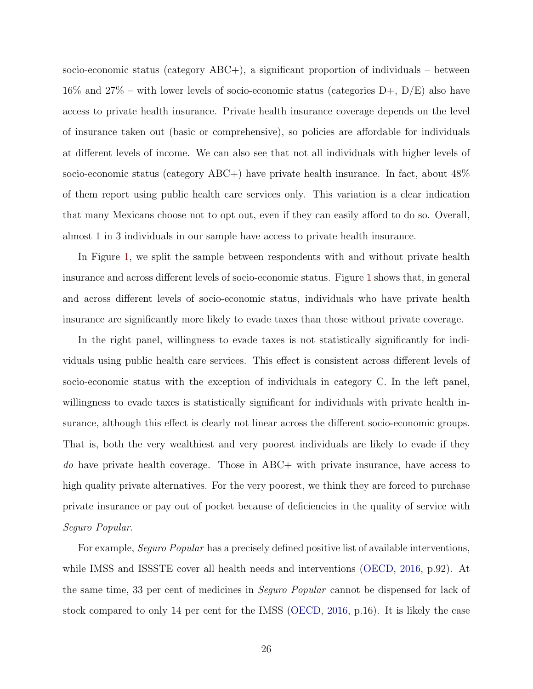socio-economic status (category ABC+), a significant proportion of individuals – between  $16\%$  and  $27\%$  – with lower levels of socio-economic status (categories D+, D/E) also have access to private health insurance. Private health insurance coverage depends on the level of insurance taken out (basic or comprehensive), so policies are affordable for individuals at different levels of income. We can also see that not all individuals with higher levels of socio-economic status (category ABC+) have private health insurance. In fact, about 48% of them report using public health care services only. This variation is a clear indication that many Mexicans choose not to opt out, even if they can easily afford to do so. Overall, almost 1 in 3 individuals in our sample have access to private health insurance.

In Figure [1,](#page-26-0) we split the sample between respondents with and without private health insurance and across different levels of socio-economic status. Figure [1](#page-26-0) shows that, in general and across different levels of socio-economic status, individuals who have private health insurance are significantly more likely to evade taxes than those without private coverage.

In the right panel, willingness to evade taxes is not statistically significantly for individuals using public health care services. This effect is consistent across different levels of socio-economic status with the exception of individuals in category C. In the left panel, willingness to evade taxes is statistically significant for individuals with private health insurance, although this effect is clearly not linear across the different socio-economic groups. That is, both the very wealthiest and very poorest individuals are likely to evade if they do have private health coverage. Those in ABC+ with private insurance, have access to high quality private alternatives. For the very poorest, we think they are forced to purchase private insurance or pay out of pocket because of deficiencies in the quality of service with Seguro Popular.

For example, *Seguro Popular* has a precisely defined positive list of available interventions, while IMSS and ISSSTE cover all health needs and interventions [\(OECD,](#page-37-11) [2016,](#page-37-11) p.92). At the same time, 33 per cent of medicines in Seguro Popular cannot be dispensed for lack of stock compared to only 14 per cent for the IMSS [\(OECD,](#page-37-11) [2016,](#page-37-11) p.16). It is likely the case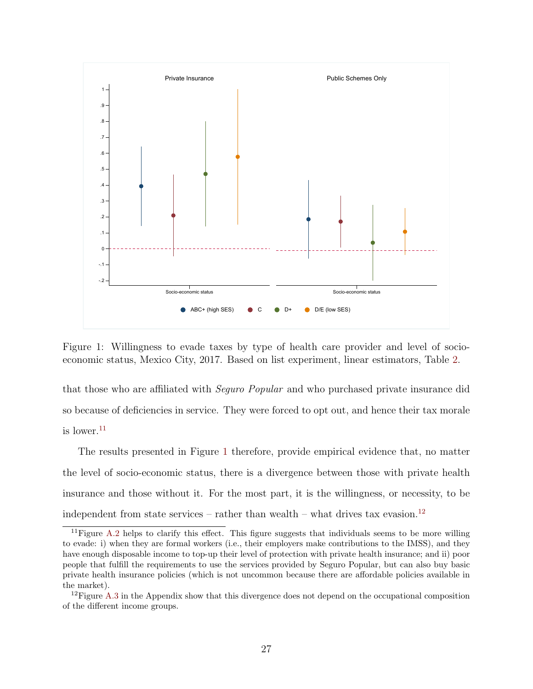

<span id="page-26-0"></span>Figure 1: Willingness to evade taxes by type of health care provider and level of socioeconomic status, Mexico City, 2017. Based on list experiment, linear estimators, Table [2.](#page-22-0)

that those who are affiliated with Seguro Popular and who purchased private insurance did so because of deficiencies in service. They were forced to opt out, and hence their tax morale is lower.<sup>[11](#page-0-0)</sup>

The results presented in Figure [1](#page-26-0) therefore, provide empirical evidence that, no matter the level of socio-economic status, there is a divergence between those with private health insurance and those without it. For the most part, it is the willingness, or necessity, to be independent from state services – rather than wealth – what drives tax evasion.<sup>[12](#page-0-0)</sup>

<sup>&</sup>lt;sup>11</sup>Figure [A.2](#page-50-0) helps to clarify this effect. This figure suggests that individuals seems to be more willing to evade: i) when they are formal workers (i.e., their employers make contributions to the IMSS), and they have enough disposable income to top-up their level of protection with private health insurance; and ii) poor people that fulfill the requirements to use the services provided by Seguro Popular, but can also buy basic private health insurance policies (which is not uncommon because there are affordable policies available in the market).

<sup>&</sup>lt;sup>12</sup> Figure [A.3](#page-51-0) in the Appendix show that this divergence does not depend on the occupational composition of the different income groups.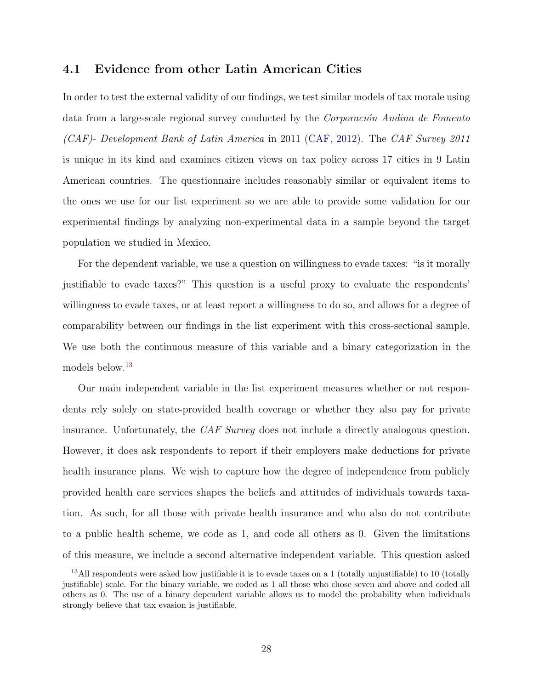#### 4.1 Evidence from other Latin American Cities

In order to test the external validity of our findings, we test similar models of tax morale using data from a large-scale regional survey conducted by the *Corporación Andina de Fomento* (CAF)- Development Bank of Latin America in 2011 [\(CAF,](#page-34-11) [2012\)](#page-34-11). The CAF Survey 2011 is unique in its kind and examines citizen views on tax policy across 17 cities in 9 Latin American countries. The questionnaire includes reasonably similar or equivalent items to the ones we use for our list experiment so we are able to provide some validation for our experimental findings by analyzing non-experimental data in a sample beyond the target population we studied in Mexico.

For the dependent variable, we use a question on willingness to evade taxes: "is it morally justifiable to evade taxes?" This question is a useful proxy to evaluate the respondents' willingness to evade taxes, or at least report a willingness to do so, and allows for a degree of comparability between our findings in the list experiment with this cross-sectional sample. We use both the continuous measure of this variable and a binary categorization in the models below.<sup>[13](#page-0-0)</sup>

Our main independent variable in the list experiment measures whether or not respondents rely solely on state-provided health coverage or whether they also pay for private insurance. Unfortunately, the CAF Survey does not include a directly analogous question. However, it does ask respondents to report if their employers make deductions for private health insurance plans. We wish to capture how the degree of independence from publicly provided health care services shapes the beliefs and attitudes of individuals towards taxation. As such, for all those with private health insurance and who also do not contribute to a public health scheme, we code as 1, and code all others as 0. Given the limitations of this measure, we include a second alternative independent variable. This question asked

<sup>&</sup>lt;sup>13</sup>All respondents were asked how justifiable it is to evade taxes on a 1 (totally unjustifiable) to 10 (totally justifiable) scale. For the binary variable, we coded as 1 all those who chose seven and above and coded all others as 0. The use of a binary dependent variable allows us to model the probability when individuals strongly believe that tax evasion is justifiable.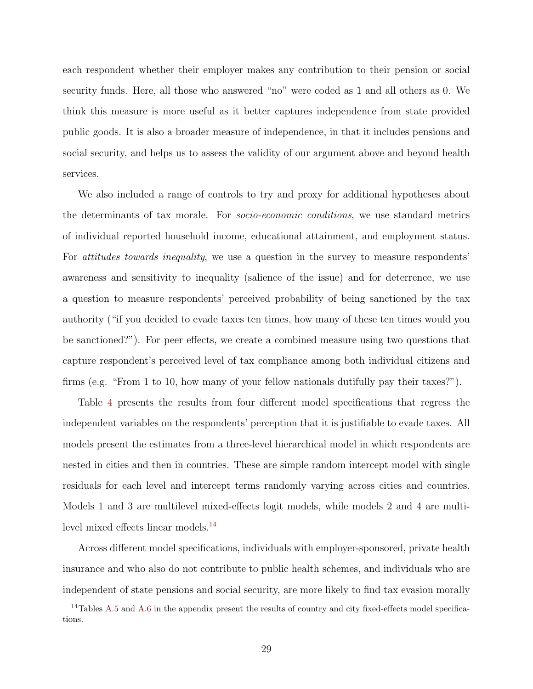each respondent whether their employer makes any contribution to their pension or social security funds. Here, all those who answered "no" were coded as 1 and all others as 0. We think this measure is more useful as it better captures independence from state provided public goods. It is also a broader measure of independence, in that it includes pensions and social security, and helps us to assess the validity of our argument above and beyond health services.

We also included a range of controls to try and proxy for additional hypotheses about the determinants of tax morale. For socio-economic conditions, we use standard metrics of individual reported household income, educational attainment, and employment status. For *attitudes towards inequality*, we use a question in the survey to measure respondents' awareness and sensitivity to inequality (salience of the issue) and for deterrence, we use a question to measure respondents' perceived probability of being sanctioned by the tax authority ("if you decided to evade taxes ten times, how many of these ten times would you be sanctioned?"). For peer effects, we create a combined measure using two questions that capture respondent's perceived level of tax compliance among both individual citizens and firms (e.g. "From 1 to 10, how many of your fellow nationals dutifully pay their taxes?").

Table [4](#page-29-0) presents the results from four different model specifications that regress the independent variables on the respondents' perception that it is justifiable to evade taxes. All models present the estimates from a three-level hierarchical model in which respondents are nested in cities and then in countries. These are simple random intercept model with single residuals for each level and intercept terms randomly varying across cities and countries. Models 1 and 3 are multilevel mixed-effects logit models, while models 2 and 4 are multilevel mixed effects linear models.[14](#page-0-0)

Across different model specifications, individuals with employer-sponsored, private health insurance and who also do not contribute to public health schemes, and individuals who are independent of state pensions and social security, are more likely to find tax evasion morally

<sup>&</sup>lt;sup>14</sup>Tables [A.5](#page-46-0) and [A.6](#page-47-0) in the appendix present the results of country and city fixed-effects model specifications.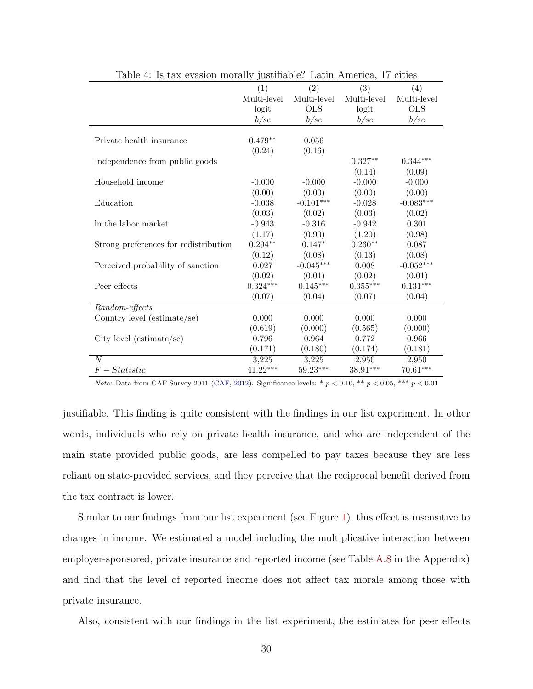| $1a$ <sub>0</sub> $\tau$ . Is vax evasion morally justmable: <b>Datin America</b> , 11 chills |             |                  |                  |                        |  |  |  |
|-----------------------------------------------------------------------------------------------|-------------|------------------|------------------|------------------------|--|--|--|
|                                                                                               | (1)         | $\overline{(2)}$ | $\overline{(3)}$ | (4)                    |  |  |  |
|                                                                                               | Multi-level | Multi-level      | Multi-level      | Multi-level            |  |  |  |
|                                                                                               | logit       | <b>OLS</b>       | logit            | <b>OLS</b>             |  |  |  |
|                                                                                               | b/sec       | b/se             | b/se             | b/se                   |  |  |  |
|                                                                                               |             |                  |                  |                        |  |  |  |
| Private health insurance                                                                      | $0.479**$   | 0.056            |                  |                        |  |  |  |
|                                                                                               | (0.24)      | (0.16)           |                  |                        |  |  |  |
| Independence from public goods                                                                |             |                  | $0.327**$        | $0.344***$             |  |  |  |
|                                                                                               |             |                  | (0.14)           | (0.09)                 |  |  |  |
| Household income                                                                              | $-0.000$    | $-0.000$         | $-0.000$         | $-0.000$               |  |  |  |
|                                                                                               | (0.00)      | (0.00)           | (0.00)           | (0.00)                 |  |  |  |
| Education                                                                                     | $-0.038$    | $-0.101***$      | $-0.028$         | $-0.083***$            |  |  |  |
|                                                                                               | (0.03)      | (0.02)           | (0.03)           | (0.02)                 |  |  |  |
| In the labor market                                                                           | $-0.943$    | $-0.316$         | $-0.942$         | 0.301                  |  |  |  |
|                                                                                               | (1.17)      | (0.90)           | (1.20)           | (0.98)                 |  |  |  |
| Strong preferences for redistribution                                                         | $0.294**$   | $0.147*$         | $0.260**$        | 0.087                  |  |  |  |
|                                                                                               | (0.12)      | (0.08)           | (0.13)           | (0.08)                 |  |  |  |
| Perceived probability of sanction                                                             | 0.027       | $-0.045***$      | 0.008            | $-0.052***$            |  |  |  |
|                                                                                               | (0.02)      | (0.01)           | (0.02)           | (0.01)                 |  |  |  |
| Peer effects                                                                                  | $0.324***$  | $0.145***$       | $0.355***$       | $0.131^{\ast\ast\ast}$ |  |  |  |
|                                                                                               | (0.07)      | (0.04)           | (0.07)           | (0.04)                 |  |  |  |
| Random-effects                                                                                |             |                  |                  |                        |  |  |  |
| Country level (estimate/se)                                                                   | 0.000       | 0.000            | 0.000            | 0.000                  |  |  |  |
|                                                                                               | (0.619)     | (0.000)          | (0.565)          | (0.000)                |  |  |  |
| City level (estimate/se)                                                                      | 0.796       | 0.964            | 0.772            | $\,0.966\,$            |  |  |  |
|                                                                                               | (0.171)     | (0.180)          | (0.174)          | (0.181)                |  |  |  |
| $\overline{N}$                                                                                | 3,225       | 3,225            | 2,950            | 2,950                  |  |  |  |
| $F - Statistic$                                                                               | $41.22***$  | $59.23***$       | 38.91***         | $70.61***$             |  |  |  |

<span id="page-29-0"></span>Table 4: Is tax evasion morally justifiable? Latin America, 17 cities

Note: Data from CAF Survey 2011 [\(CAF,](#page-34-11) [2012\)](#page-34-11). Significance levels:  $* p < 0.10$ ,  $** p < 0.05$ ,  $*** p < 0.01$ 

justifiable. This finding is quite consistent with the findings in our list experiment. In other words, individuals who rely on private health insurance, and who are independent of the main state provided public goods, are less compelled to pay taxes because they are less reliant on state-provided services, and they perceive that the reciprocal benefit derived from the tax contract is lower.

Similar to our findings from our list experiment (see Figure [1\)](#page-26-0), this effect is insensitive to changes in income. We estimated a model including the multiplicative interaction between employer-sponsored, private insurance and reported income (see Table [A.8](#page-49-0) in the Appendix) and find that the level of reported income does not affect tax morale among those with private insurance.

Also, consistent with our findings in the list experiment, the estimates for peer effects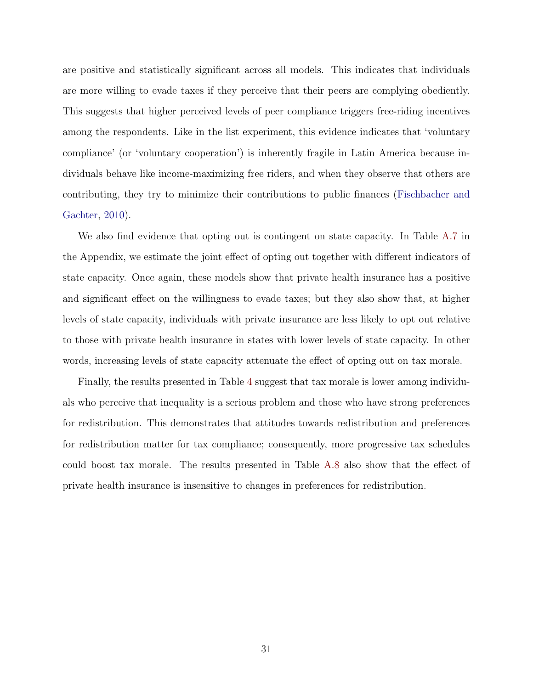are positive and statistically significant across all models. This indicates that individuals are more willing to evade taxes if they perceive that their peers are complying obediently. This suggests that higher perceived levels of peer compliance triggers free-riding incentives among the respondents. Like in the list experiment, this evidence indicates that 'voluntary compliance' (or 'voluntary cooperation') is inherently fragile in Latin America because individuals behave like income-maximizing free riders, and when they observe that others are contributing, they try to minimize their contributions to public finances [\(Fischbacher and](#page-35-11) [Gachter,](#page-35-11) [2010\)](#page-35-11).

We also find evidence that opting out is contingent on state capacity. In Table [A.7](#page-48-0) in the Appendix, we estimate the joint effect of opting out together with different indicators of state capacity. Once again, these models show that private health insurance has a positive and significant effect on the willingness to evade taxes; but they also show that, at higher levels of state capacity, individuals with private insurance are less likely to opt out relative to those with private health insurance in states with lower levels of state capacity. In other words, increasing levels of state capacity attenuate the effect of opting out on tax morale.

Finally, the results presented in Table [4](#page-29-0) suggest that tax morale is lower among individuals who perceive that inequality is a serious problem and those who have strong preferences for redistribution. This demonstrates that attitudes towards redistribution and preferences for redistribution matter for tax compliance; consequently, more progressive tax schedules could boost tax morale. The results presented in Table [A.8](#page-49-0) also show that the effect of private health insurance is insensitive to changes in preferences for redistribution.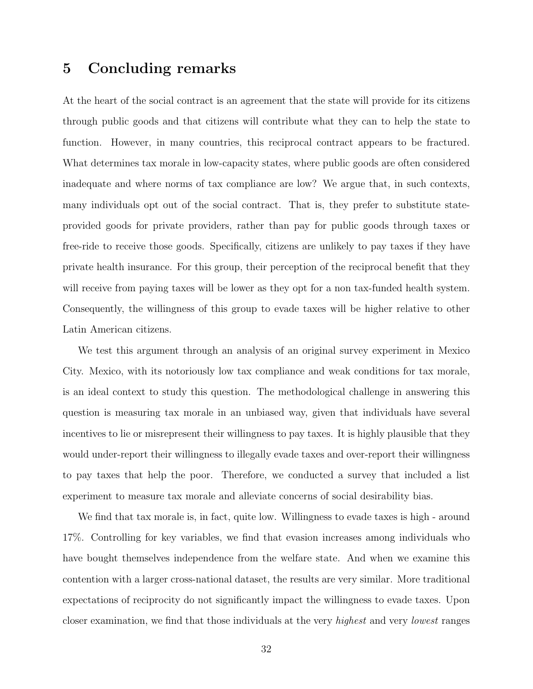### 5 Concluding remarks

At the heart of the social contract is an agreement that the state will provide for its citizens through public goods and that citizens will contribute what they can to help the state to function. However, in many countries, this reciprocal contract appears to be fractured. What determines tax morale in low-capacity states, where public goods are often considered inadequate and where norms of tax compliance are low? We argue that, in such contexts, many individuals opt out of the social contract. That is, they prefer to substitute stateprovided goods for private providers, rather than pay for public goods through taxes or free-ride to receive those goods. Specifically, citizens are unlikely to pay taxes if they have private health insurance. For this group, their perception of the reciprocal benefit that they will receive from paying taxes will be lower as they opt for a non tax-funded health system. Consequently, the willingness of this group to evade taxes will be higher relative to other Latin American citizens.

We test this argument through an analysis of an original survey experiment in Mexico City. Mexico, with its notoriously low tax compliance and weak conditions for tax morale, is an ideal context to study this question. The methodological challenge in answering this question is measuring tax morale in an unbiased way, given that individuals have several incentives to lie or misrepresent their willingness to pay taxes. It is highly plausible that they would under-report their willingness to illegally evade taxes and over-report their willingness to pay taxes that help the poor. Therefore, we conducted a survey that included a list experiment to measure tax morale and alleviate concerns of social desirability bias.

We find that tax morale is, in fact, quite low. Willingness to evade taxes is high - around 17%. Controlling for key variables, we find that evasion increases among individuals who have bought themselves independence from the welfare state. And when we examine this contention with a larger cross-national dataset, the results are very similar. More traditional expectations of reciprocity do not significantly impact the willingness to evade taxes. Upon closer examination, we find that those individuals at the very *highest* and very *lowest* ranges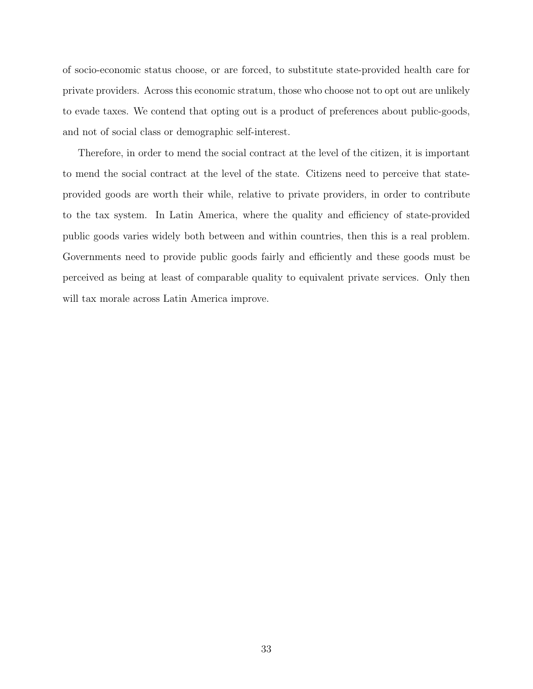of socio-economic status choose, or are forced, to substitute state-provided health care for private providers. Across this economic stratum, those who choose not to opt out are unlikely to evade taxes. We contend that opting out is a product of preferences about public-goods, and not of social class or demographic self-interest.

Therefore, in order to mend the social contract at the level of the citizen, it is important to mend the social contract at the level of the state. Citizens need to perceive that stateprovided goods are worth their while, relative to private providers, in order to contribute to the tax system. In Latin America, where the quality and efficiency of state-provided public goods varies widely both between and within countries, then this is a real problem. Governments need to provide public goods fairly and efficiently and these goods must be perceived as being at least of comparable quality to equivalent private services. Only then will tax morale across Latin America improve.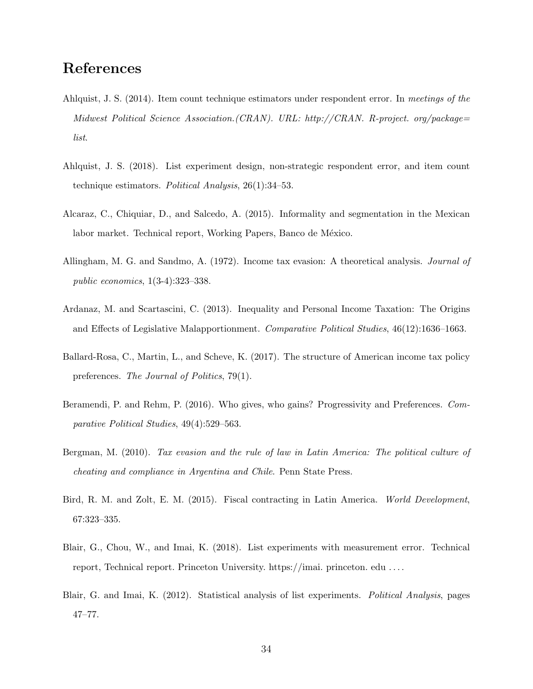### References

- <span id="page-33-9"></span>Ahlquist, J. S. (2014). Item count technique estimators under respondent error. In meetings of the Midwest Political Science Association.(CRAN). URL: http://CRAN. R-project. org/package= list.
- <span id="page-33-8"></span>Ahlquist, J. S. (2018). List experiment design, non-strategic respondent error, and item count technique estimators. Political Analysis, 26(1):34–53.
- <span id="page-33-7"></span>Alcaraz, C., Chiquiar, D., and Salcedo, A. (2015). Informality and segmentation in the Mexican labor market. Technical report, Working Papers, Banco de México.
- <span id="page-33-4"></span>Allingham, M. G. and Sandmo, A. (1972). Income tax evasion: A theoretical analysis. Journal of public economics, 1(3-4):323–338.
- <span id="page-33-3"></span>Ardanaz, M. and Scartascini, C. (2013). Inequality and Personal Income Taxation: The Origins and Effects of Legislative Malapportionment. Comparative Political Studies, 46(12):1636–1663.
- <span id="page-33-1"></span>Ballard-Rosa, C., Martin, L., and Scheve, K. (2017). The structure of American income tax policy preferences. The Journal of Politics, 79(1).
- <span id="page-33-5"></span>Beramendi, P. and Rehm, P. (2016). Who gives, who gains? Progressivity and Preferences. Comparative Political Studies, 49(4):529–563.
- <span id="page-33-2"></span>Bergman, M. (2010). Tax evasion and the rule of law in Latin America: The political culture of cheating and compliance in Argentina and Chile. Penn State Press.
- <span id="page-33-0"></span>Bird, R. M. and Zolt, E. M. (2015). Fiscal contracting in Latin America. World Development, 67:323–335.
- <span id="page-33-10"></span>Blair, G., Chou, W., and Imai, K. (2018). List experiments with measurement error. Technical report, Technical report. Princeton University. https://imai. princeton. edu . . . .
- <span id="page-33-6"></span>Blair, G. and Imai, K. (2012). Statistical analysis of list experiments. Political Analysis, pages 47–77.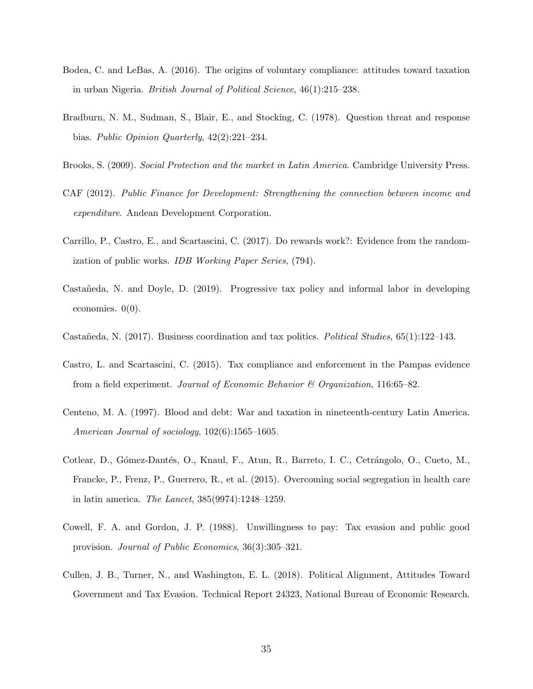- <span id="page-34-0"></span>Bodea, C. and LeBas, A. (2016). The origins of voluntary compliance: attitudes toward taxation in urban Nigeria. British Journal of Political Science, 46(1):215–238.
- <span id="page-34-1"></span>Bradburn, N. M., Sudman, S., Blair, E., and Stocking, C. (1978). Question threat and response bias. Public Opinion Quarterly, 42(2):221–234.
- <span id="page-34-10"></span>Brooks, S. (2009). Social Protection and the market in Latin America. Cambridge University Press.
- <span id="page-34-11"></span>CAF (2012). Public Finance for Development: Strengthening the connection between income and expenditure. Andean Development Corporation.
- <span id="page-34-6"></span>Carrillo, P., Castro, E., and Scartascini, C. (2017). Do rewards work?: Evidence from the randomization of public works. IDB Working Paper Series, (794).
- <span id="page-34-4"></span>Castañeda, N. and Doyle, D. (2019). Progressive tax policy and informal labor in developing economies. 0(0).
- <span id="page-34-3"></span>Castañeda, N. (2017). Business coordination and tax politics. Political Studies, 65(1):122-143.
- <span id="page-34-5"></span>Castro, L. and Scartascini, C. (2015). Tax compliance and enforcement in the Pampas evidence from a field experiment. Journal of Economic Behavior & Organization, 116:65–82.
- <span id="page-34-2"></span>Centeno, M. A. (1997). Blood and debt: War and taxation in nineteenth-century Latin America. American Journal of sociology, 102(6):1565–1605.
- <span id="page-34-9"></span>Cotlear, D., Gómez-Dantés, O., Knaul, F., Atun, R., Barreto, I. C., Cetrángolo, O., Cueto, M., Francke, P., Frenz, P., Guerrero, R., et al. (2015). Overcoming social segregation in health care in latin america. The Lancet, 385(9974):1248–1259.
- <span id="page-34-8"></span>Cowell, F. A. and Gordon, J. P. (1988). Unwillingness to pay: Tax evasion and public good provision. Journal of Public Economics, 36(3):305–321.
- <span id="page-34-7"></span>Cullen, J. B., Turner, N., and Washington, E. L. (2018). Political Alignment, Attitudes Toward Government and Tax Evasion. Technical Report 24323, National Bureau of Economic Research.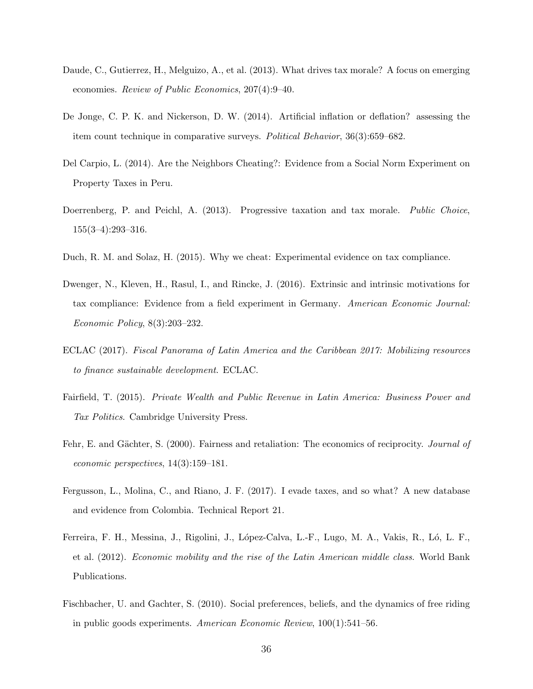- <span id="page-35-5"></span>Daude, C., Gutierrez, H., Melguizo, A., et al. (2013). What drives tax morale? A focus on emerging economies. Review of Public Economics, 207(4):9–40.
- <span id="page-35-9"></span>De Jonge, C. P. K. and Nickerson, D. W. (2014). Artificial inflation or deflation? assessing the item count technique in comparative surveys. Political Behavior, 36(3):659–682.
- <span id="page-35-4"></span>Del Carpio, L. (2014). Are the Neighbors Cheating?: Evidence from a Social Norm Experiment on Property Taxes in Peru.
- <span id="page-35-6"></span>Doerrenberg, P. and Peichl, A. (2013). Progressive taxation and tax morale. Public Choice, 155(3–4):293–316.
- <span id="page-35-0"></span>Duch, R. M. and Solaz, H. (2015). Why we cheat: Experimental evidence on tax compliance.
- <span id="page-35-3"></span>Dwenger, N., Kleven, H., Rasul, I., and Rincke, J. (2016). Extrinsic and intrinsic motivations for tax compliance: Evidence from a field experiment in Germany. American Economic Journal: Economic Policy, 8(3):203–232.
- <span id="page-35-1"></span>ECLAC (2017). Fiscal Panorama of Latin America and the Caribbean 2017: Mobilizing resources to finance sustainable development. ECLAC.
- <span id="page-35-2"></span>Fairfield, T. (2015). Private Wealth and Public Revenue in Latin America: Business Power and Tax Politics. Cambridge University Press.
- <span id="page-35-10"></span>Fehr, E. and Gächter, S. (2000). Fairness and retaliation: The economics of reciprocity. *Journal of* economic perspectives, 14(3):159–181.
- <span id="page-35-8"></span>Fergusson, L., Molina, C., and Riano, J. F. (2017). I evade taxes, and so what? A new database and evidence from Colombia. Technical Report 21.
- <span id="page-35-7"></span>Ferreira, F. H., Messina, J., Rigolini, J., López-Calva, L.-F., Lugo, M. A., Vakis, R., Ló, L. F., et al. (2012). Economic mobility and the rise of the Latin American middle class. World Bank Publications.
- <span id="page-35-11"></span>Fischbacher, U. and Gachter, S. (2010). Social preferences, beliefs, and the dynamics of free riding in public goods experiments. American Economic Review, 100(1):541–56.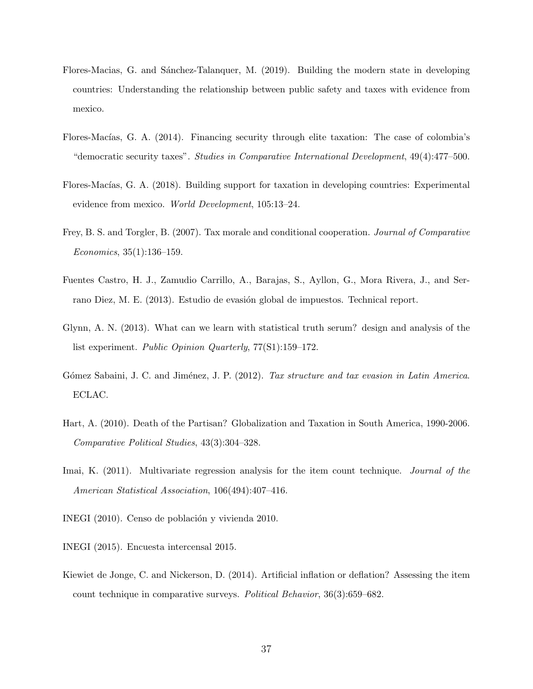- <span id="page-36-5"></span>Flores-Macias, G. and Sánchez-Talanquer, M. (2019). Building the modern state in developing countries: Understanding the relationship between public safety and taxes with evidence from mexico.
- <span id="page-36-6"></span>Flores-Macías, G. A. (2014). Financing security through elite taxation: The case of colombia's "democratic security taxes". Studies in Comparative International Development, 49(4):477–500.
- <span id="page-36-3"></span>Flores-Macías, G. A. (2018). Building support for taxation in developing countries: Experimental evidence from mexico. World Development, 105:13–24.
- <span id="page-36-4"></span>Frey, B. S. and Torgler, B. (2007). Tax morale and conditional cooperation. Journal of Comparative Economics, 35(1):136–159.
- <span id="page-36-1"></span>Fuentes Castro, H. J., Zamudio Carrillo, A., Barajas, S., Ayllon, G., Mora Rivera, J., and Serrano Diez, M. E. (2013). Estudio de evasión global de impuestos. Technical report.
- <span id="page-36-7"></span>Glynn, A. N. (2013). What can we learn with statistical truth serum? design and analysis of the list experiment. Public Opinion Quarterly, 77(S1):159–172.
- <span id="page-36-0"></span>Gómez Sabaini, J. C. and Jiménez, J. P. (2012). Tax structure and tax evasion in Latin America. ECLAC.
- <span id="page-36-2"></span>Hart, A. (2010). Death of the Partisan? Globalization and Taxation in South America, 1990-2006. Comparative Political Studies, 43(3):304–328.
- <span id="page-36-8"></span>Imai, K. (2011). Multivariate regression analysis for the item count technique. *Journal of the* American Statistical Association, 106(494):407–416.
- <span id="page-36-10"></span>INEGI (2010). Censo de población y vivienda 2010.
- <span id="page-36-11"></span>INEGI (2015). Encuesta intercensal 2015.
- <span id="page-36-9"></span>Kiewiet de Jonge, C. and Nickerson, D. (2014). Artificial inflation or deflation? Assessing the item count technique in comparative surveys. Political Behavior, 36(3):659–682.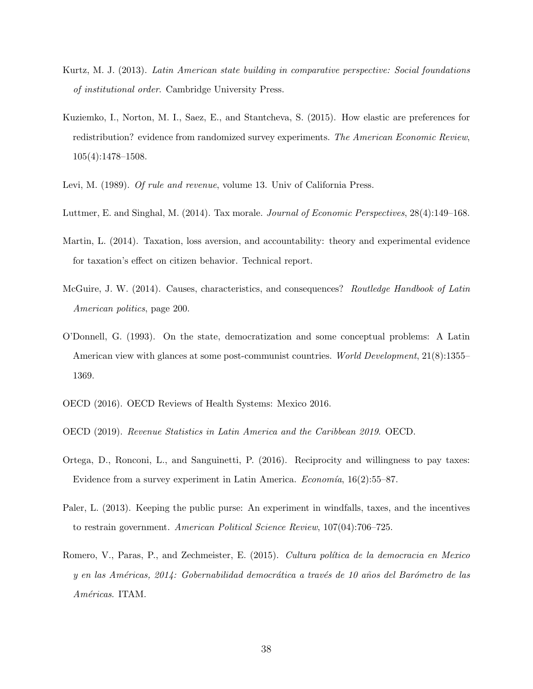- <span id="page-37-1"></span>Kurtz, M. J. (2013). Latin American state building in comparative perspective: Social foundations of institutional order. Cambridge University Press.
- <span id="page-37-4"></span>Kuziemko, I., Norton, M. I., Saez, E., and Stantcheva, S. (2015). How elastic are preferences for redistribution? evidence from randomized survey experiments. The American Economic Review, 105(4):1478–1508.
- <span id="page-37-0"></span>Levi, M. (1989). *Of rule and revenue*, volume 13. Univ of California Press.
- <span id="page-37-3"></span>Luttmer, E. and Singhal, M. (2014). Tax morale. Journal of Economic Perspectives, 28(4):149–168.
- <span id="page-37-9"></span>Martin, L. (2014). Taxation, loss aversion, and accountability: theory and experimental evidence for taxation's effect on citizen behavior. Technical report.
- <span id="page-37-2"></span>McGuire, J. W. (2014). Causes, characteristics, and consequences? Routledge Handbook of Latin American politics, page 200.
- <span id="page-37-7"></span>O'Donnell, G. (1993). On the state, democratization and some conceptual problems: A Latin American view with glances at some post-communist countries. World Development,  $21(8):1355-$ 1369.
- <span id="page-37-11"></span>OECD (2016). OECD Reviews of Health Systems: Mexico 2016.
- <span id="page-37-10"></span>OECD (2019). Revenue Statistics in Latin America and the Caribbean 2019. OECD.
- <span id="page-37-5"></span>Ortega, D., Ronconi, L., and Sanguinetti, P. (2016). Reciprocity and willingness to pay taxes: Evidence from a survey experiment in Latin America. *Economía*,  $16(2):55-87$ .
- <span id="page-37-8"></span>Paler, L. (2013). Keeping the public purse: An experiment in windfalls, taxes, and the incentives to restrain government. American Political Science Review, 107(04):706–725.
- <span id="page-37-6"></span>Romero, V., Paras, P., and Zechmeister, E. (2015). Cultura política de la democracia en Mexico  $y$  en las Américas, 2014: Gobernabilidad democrática a través de 10 años del Barómetro de las Américas. ITAM.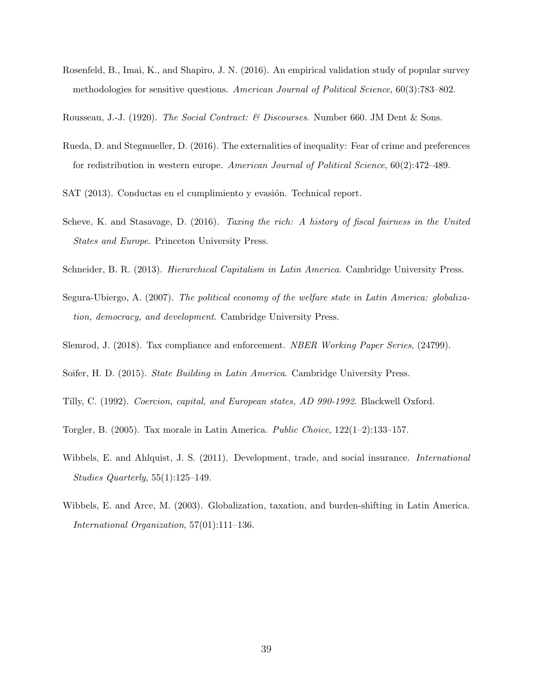<span id="page-38-12"></span>Rosenfeld, B., Imai, K., and Shapiro, J. N. (2016). An empirical validation study of popular survey methodologies for sensitive questions. American Journal of Political Science, 60(3):783–802.

<span id="page-38-0"></span>Rousseau, J.-J. (1920). The Social Contract: & Discourses. Number 660. JM Dent & Sons.

<span id="page-38-9"></span>Rueda, D. and Stegmueller, D. (2016). The externalities of inequality: Fear of crime and preferences for redistribution in western europe. American Journal of Political Science, 60(2):472–489.

<span id="page-38-11"></span>SAT (2013). Conductas en el cumplimiento y evasión. Technical report.

- <span id="page-38-7"></span>Scheve, K. and Stasavage, D. (2016). Taxing the rich: A history of fiscal fairness in the United States and Europe. Princeton University Press.
- <span id="page-38-4"></span>Schneider, B. R. (2013). Hierarchical Capitalism in Latin America. Cambridge University Press.
- <span id="page-38-8"></span>Segura-Ubiergo, A. (2007). The political economy of the welfare state in Latin America: globalization, democracy, and development. Cambridge University Press.
- <span id="page-38-6"></span>Slemrod, J. (2018). Tax compliance and enforcement. *NBER Working Paper Series*, (24799).

<span id="page-38-1"></span>Soifer, H. D. (2015). State Building in Latin America. Cambridge University Press.

- <span id="page-38-5"></span>Tilly, C. (1992). Coercion, capital, and European states, AD 990-1992. Blackwell Oxford.
- <span id="page-38-2"></span>Torgler, B. (2005). Tax morale in Latin America. Public Choice, 122(1–2):133–157.
- <span id="page-38-10"></span>Wibbels, E. and Ahlquist, J. S. (2011). Development, trade, and social insurance. International Studies Quarterly, 55(1):125–149.
- <span id="page-38-3"></span>Wibbels, E. and Arce, M. (2003). Globalization, taxation, and burden-shifting in Latin America. International Organization, 57(01):111–136.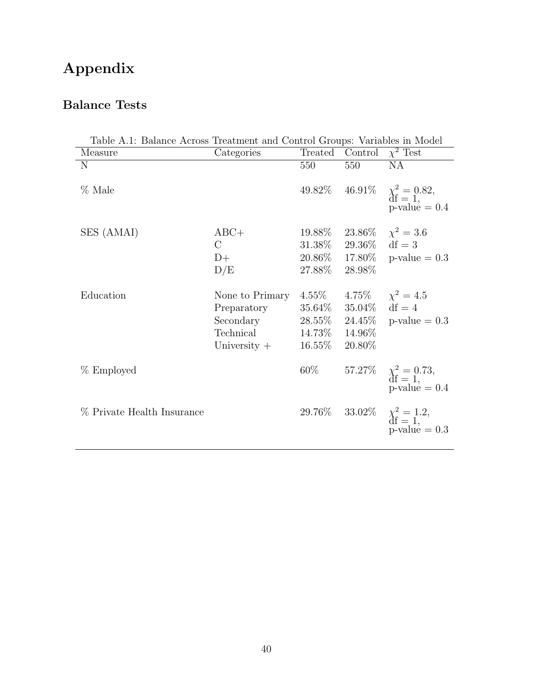# Appendix

# Balance Tests

| Table A.1: Balance Across Treatment and Control Groups: Variables in Model |                                                                            |                                                             |                               |                                                                 |  |  |  |
|----------------------------------------------------------------------------|----------------------------------------------------------------------------|-------------------------------------------------------------|-------------------------------|-----------------------------------------------------------------|--|--|--|
| Measure                                                                    | Categories                                                                 | Treated                                                     | Control                       | $\chi^2$ Test                                                   |  |  |  |
| N                                                                          |                                                                            | 550                                                         | 550                           | NA                                                              |  |  |  |
| % Male                                                                     |                                                                            |                                                             |                               | 49.82\% 46.91\% $\chi^2 = 0.82$ ,<br>df = 1,<br>$p-value = 0.4$ |  |  |  |
| SES (AMAI)                                                                 | $ABC+$                                                                     | $19.88\%$                                                   |                               | 23.86\% $\chi^2 = 3.6$                                          |  |  |  |
|                                                                            | $\mathcal{C}$                                                              | $31.38\%$                                                   | 29.36 $\%$                    | $df = 3$                                                        |  |  |  |
|                                                                            | $D+$                                                                       |                                                             | 20.86\% 17.80\%               | $p$ -value = 0.3                                                |  |  |  |
|                                                                            | D/E                                                                        | 27.88\% 28.98\%                                             |                               |                                                                 |  |  |  |
| Education                                                                  | None to Primary<br>Preparatory<br>Secondary<br>Technical<br>University $+$ | $4.55\%$<br>35.64\%<br>28.55%<br>14.73% 14.96%<br>$16.55\%$ | $35.04\%$<br>24.45%<br>20.80% | $4.75\%$ $\chi^2 = 4.5$<br>$df = 4$<br>$p-value = 0.3$          |  |  |  |
| % Employed                                                                 |                                                                            | $60\%$                                                      |                               | 57.27% $\chi^2 = 0.73$ ,<br>df = 1,<br>$p-value = 0.4$          |  |  |  |
| % Private Health Insurance                                                 |                                                                            |                                                             |                               | 29.76% 33.02% $\chi^2 = 1.2$ ,<br>df = 1,<br>$p-value = 0.3$    |  |  |  |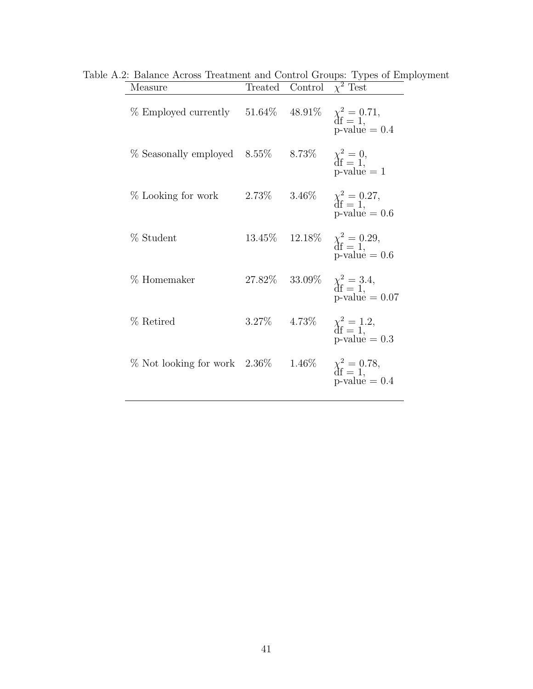| Measure                                    | Treated           | Control | $\chi^2$ Test                                             |
|--------------------------------------------|-------------------|---------|-----------------------------------------------------------|
| $\%$ Employed currently $51.64\%$ 48.91%   |                   |         | $\chi^2 = 0.71,$<br>df = 1,<br>p-value = 0.4              |
| $\%$ Seasonally employed $8.55\%$ $8.73\%$ |                   |         | $\chi^2 = 0,$<br>df = 1,<br>p-value = 1                   |
| % Looking for work                         | $2.73\%$ $3.46\%$ |         | $\chi^2 = 0.27,$<br>df = 1,<br>$\mu$ -value = 0.6         |
| % Student                                  | 13.45\% 12.18\%   |         | $\chi^2 = 0.29,$<br>df = 1,<br>$p-value = 0.6$            |
| % Homemaker                                | 27.82\%           | 33.09%  | $\chi^2 = 3.4,$<br>df = 1,<br>$p-value = 0.07$            |
| % Retired                                  | $3.27\%$ $4.73\%$ |         | $\chi^2 = 1.2,$<br>df = 1,<br>$\overline{p}$ -value = 0.3 |
| $\%$ Not looking for work 2.36 $\%$        |                   | 1.46\%  | $\chi^2 = 0.78,$<br>df = 1,<br>p-value = 0.4              |

Table A.2: Balance Across Treatment and Control Groups: Types of Employment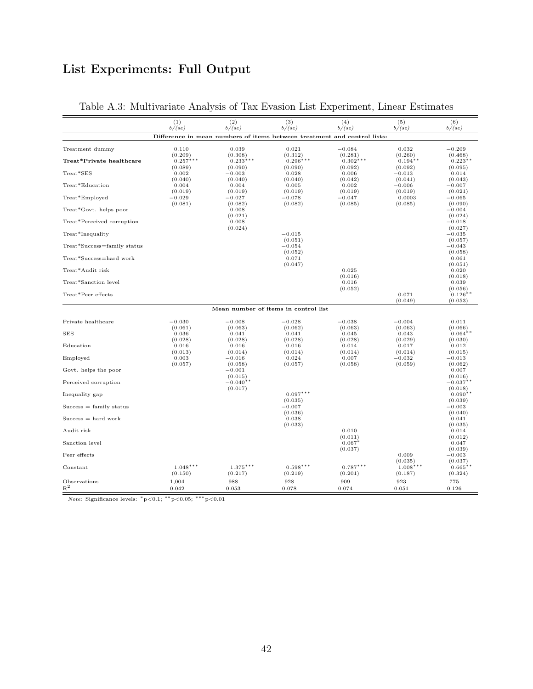# List Experiments: Full Output

|                             | (1)<br>b/(se)                                                            | (2)<br>b/(se)                    | (3)<br>b/(se)                        | (4)<br>b/(se)                  | (5)<br>b/(se)                   | (6)<br>b/(se)                   |
|-----------------------------|--------------------------------------------------------------------------|----------------------------------|--------------------------------------|--------------------------------|---------------------------------|---------------------------------|
|                             | Difference in mean numbers of items between treatment and control lists: |                                  |                                      |                                |                                 |                                 |
| Treatment dummy             | 0.110                                                                    | 0.039                            | 0.021                                | $-0.084$                       | 0.032                           | $-0.209$                        |
| Treat*Private healthcare    | (0.209)<br>$0.257*$<br>(0.089)                                           | (0.308)<br>$0.233***$<br>(0.090) | (0.312)<br>$0.296***$<br>(0.090)     | (0.281)<br>$0.302*$<br>(0.092) | (0.260)<br>$0.194**$<br>(0.092) | (0.468)<br>$0.223**$<br>(0.095) |
| Treat*SES                   | 0.002<br>(0.040)                                                         | $-0.003$<br>(0.040)              | 0.028<br>(0.040)                     | 0.006<br>(0.042)               | $-0.013$<br>(0.041)             | 0.014<br>(0.043)                |
| Treat*Education             | 0.004<br>(0.019)                                                         | 0.004<br>(0.019)                 | 0.005<br>(0.019)                     | 0.002<br>(0.019)               | $-0.006$<br>(0.019)             | $-0.007$<br>(0.021)             |
| Treat*Employed              | $-0.029$<br>(0.081)                                                      | $-0.027$<br>(0.082)              | $-0.078$<br>(0.082)                  | $-0.047$<br>(0.085)            | 0.0003<br>(0.085)               | $-0.065$<br>(0.090)             |
| Treat*Govt. helps poor      |                                                                          | 0.008<br>(0.021)                 |                                      |                                |                                 | $-0.004$<br>(0.024)             |
| Treat*Perceived corruption  |                                                                          | 0.008<br>(0.024)                 |                                      |                                |                                 | $-0.018$<br>(0.027)             |
| Treat*Inequality            |                                                                          |                                  | $-0.015$<br>(0.051)                  |                                |                                 | $-0.035$<br>(0.057)             |
| Treat*Success=family status |                                                                          |                                  | $-0.054$<br>(0.052)                  |                                |                                 | $-0.043$<br>(0.058)             |
| Treat*Success=hard work     |                                                                          |                                  | 0.071<br>(0.047)                     |                                |                                 | 0.061<br>(0.051)                |
| Treat*Audit risk            |                                                                          |                                  |                                      | 0.025                          |                                 | 0.020                           |
| Treat*Sanction level        |                                                                          |                                  |                                      | (0.016)<br>0.016<br>(0.052)    |                                 | (0.018)<br>0.039<br>(0.056)     |
| Treat*Peer effects          |                                                                          |                                  |                                      |                                | 0.071<br>(0.049)                | $0.126*$<br>(0.053)             |
|                             |                                                                          |                                  | Mean number of items in control list |                                |                                 |                                 |
| Private healthcare          | $-0.030$<br>(0.061)                                                      | $-0.008$<br>(0.063)              | $-0.028$<br>(0.062)                  | $-0.038$<br>(0.063)            | $-0.004$<br>(0.063)             | 0.011<br>(0.066)                |
| <b>SES</b>                  | 0.036                                                                    | 0.041                            | 0.041                                | 0.045                          | 0.043                           | $0.064**$                       |
| Education                   | (0.028)<br>0.016<br>(0.013)                                              | (0.028)<br>0.016<br>(0.014)      | (0.028)<br>0.016<br>(0.014)          | (0.028)<br>0.014<br>(0.014)    | (0.029)<br>0.017<br>(0.014)     | (0.030)<br>0.012<br>(0.015)     |
| Employed                    | 0.003<br>(0.057)                                                         | $-0.016$<br>(0.058)              | 0.024<br>(0.057)                     | 0.007<br>(0.058)               | $-0.032$<br>(0.059)             | $-0.013$<br>(0.062)             |
| Govt. helps the poor        |                                                                          | $-0.001$<br>(0.015)              |                                      |                                |                                 | 0.007<br>(0.016)                |
| Perceived corruption        |                                                                          | $-0.040**$<br>(0.017)            |                                      |                                |                                 | $-0.037**$<br>(0.018)           |
| Inequality gap              |                                                                          |                                  | $0.097***$<br>(0.035)                |                                |                                 | $0.090$ *'<br>(0.039)           |
| $Success = family status$   |                                                                          |                                  | $-0.007$<br>(0.036)                  |                                |                                 | $-0.003$<br>(0.040)             |
| $Success = hard work$       |                                                                          |                                  | 0.038<br>(0.033)                     |                                |                                 | 0.041<br>(0.035)                |
| Audit risk                  |                                                                          |                                  |                                      | 0.010<br>(0.011)               |                                 | 0.014<br>(0.012)                |
| Sanction level              |                                                                          |                                  |                                      | $0.067*$<br>(0.037)            |                                 | 0.047<br>(0.039)                |
| Peer effects                |                                                                          |                                  |                                      |                                | 0.009<br>(0.035)                | $-0.003$<br>(0.037)             |
| Constant                    | $1.048***$<br>(0.150)                                                    | $1.375***$<br>(0.217)            | $0.598***$<br>(0.219)                | $0.787***$<br>(0.201)          | $1.008***$<br>(0.187)           | $0.665*$<br>(0.324)             |
| Observations<br>$R^2$       | 1,004<br>0.042                                                           | 988<br>0.053                     | 928<br>0.078                         | 909<br>0.074                   | 923<br>0.051                    | 775<br>0.126                    |

### Table A.3: Multivariate Analysis of Tax Evasion List Experiment, Linear Estimates

 $\emph{Note:}$  Significance levels: \*p<0.1; \*\*p<0.05; \*\*\*p<0.01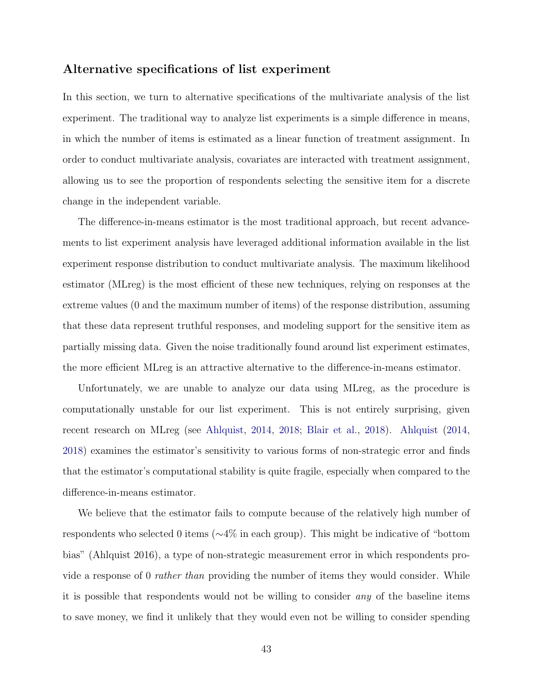#### Alternative specifications of list experiment

In this section, we turn to alternative specifications of the multivariate analysis of the list experiment. The traditional way to analyze list experiments is a simple difference in means, in which the number of items is estimated as a linear function of treatment assignment. In order to conduct multivariate analysis, covariates are interacted with treatment assignment, allowing us to see the proportion of respondents selecting the sensitive item for a discrete change in the independent variable.

The difference-in-means estimator is the most traditional approach, but recent advancements to list experiment analysis have leveraged additional information available in the list experiment response distribution to conduct multivariate analysis. The maximum likelihood estimator (MLreg) is the most efficient of these new techniques, relying on responses at the extreme values (0 and the maximum number of items) of the response distribution, assuming that these data represent truthful responses, and modeling support for the sensitive item as partially missing data. Given the noise traditionally found around list experiment estimates, the more efficient MLreg is an attractive alternative to the difference-in-means estimator.

Unfortunately, we are unable to analyze our data using MLreg, as the procedure is computationally unstable for our list experiment. This is not entirely surprising, given recent research on MLreg (see [Ahlquist,](#page-33-9) [2014,](#page-33-9) [2018;](#page-33-8) [Blair et al.,](#page-33-10) [2018\)](#page-33-10). [Ahlquist](#page-33-9) [\(2014,](#page-33-9) [2018\)](#page-33-8) examines the estimator's sensitivity to various forms of non-strategic error and finds that the estimator's computational stability is quite fragile, especially when compared to the difference-in-means estimator.

We believe that the estimator fails to compute because of the relatively high number of respondents who selected 0 items (∼4% in each group). This might be indicative of "bottom bias" (Ahlquist 2016), a type of non-strategic measurement error in which respondents provide a response of 0 rather than providing the number of items they would consider. While it is possible that respondents would not be willing to consider any of the baseline items to save money, we find it unlikely that they would even not be willing to consider spending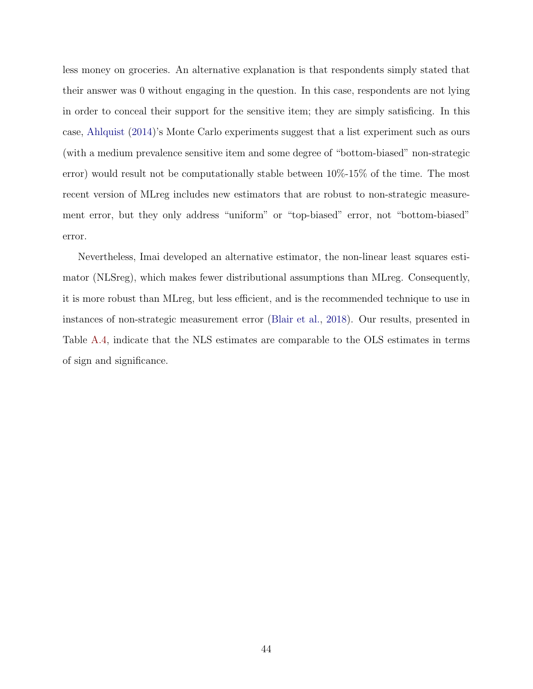less money on groceries. An alternative explanation is that respondents simply stated that their answer was 0 without engaging in the question. In this case, respondents are not lying in order to conceal their support for the sensitive item; they are simply satisficing. In this case, [Ahlquist](#page-33-9) [\(2014\)](#page-33-9)'s Monte Carlo experiments suggest that a list experiment such as ours (with a medium prevalence sensitive item and some degree of "bottom-biased" non-strategic error) would result not be computationally stable between 10%-15% of the time. The most recent version of MLreg includes new estimators that are robust to non-strategic measurement error, but they only address "uniform" or "top-biased" error, not "bottom-biased" error.

Nevertheless, Imai developed an alternative estimator, the non-linear least squares estimator (NLSreg), which makes fewer distributional assumptions than MLreg. Consequently, it is more robust than MLreg, but less efficient, and is the recommended technique to use in instances of non-strategic measurement error [\(Blair et al.,](#page-33-10) [2018\)](#page-33-10). Our results, presented in Table [A.4,](#page-29-0) indicate that the NLS estimates are comparable to the OLS estimates in terms of sign and significance.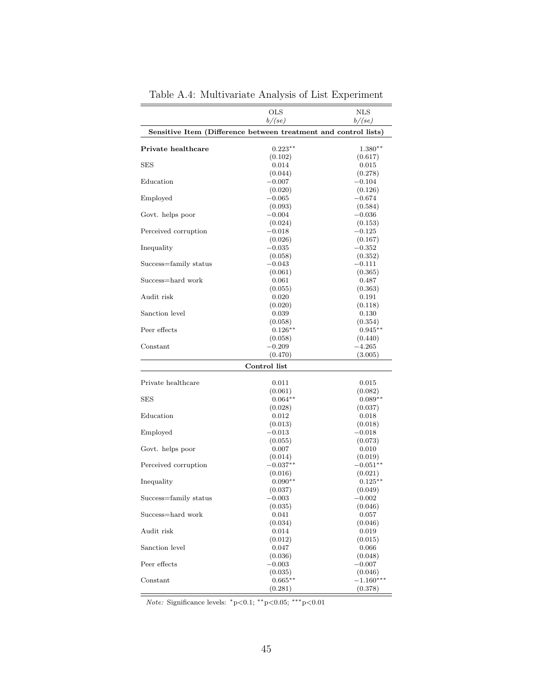|                       | $_{\rm OLS}$                                                    | NLS         |
|-----------------------|-----------------------------------------------------------------|-------------|
|                       | b/(se)                                                          | b/(se)      |
|                       | Sensitive Item (Difference between treatment and control lists) |             |
| Private healthcare    | $0.223**$                                                       | $1.380**$   |
|                       | (0.102)                                                         | (0.617)     |
| $_{\rm SES}$          | 0.014                                                           | 0.015       |
|                       | (0.044)                                                         | (0.278)     |
| Education             | $-0.007$                                                        | $-0.104$    |
|                       | (0.020)                                                         | (0.126)     |
| Employed              | $-0.065$                                                        | $-0.674$    |
|                       | (0.093)                                                         | (0.584)     |
| Govt. helps poor      | $-0.004$                                                        | $-0.036\,$  |
|                       | (0.024)                                                         | (0.153)     |
| Perceived corruption  | $-0.018$                                                        | $-0.125$    |
|                       | (0.026)                                                         | (0.167)     |
| Inequality            | $-0.035$                                                        | $-0.352$    |
|                       | (0.058)                                                         | (0.352)     |
| Success=family status | $-0.043$                                                        | $-0.111$    |
|                       | (0.061)                                                         | (0.365)     |
| Success=hard work     | 0.061                                                           | 0.487       |
|                       | (0.055)                                                         | (0.363)     |
| Audit risk            | 0.020                                                           | 0.191       |
|                       | (0.020)                                                         | (0.118)     |
| Sanction level        | 0.039                                                           | 0.130       |
|                       | (0.058)                                                         | (0.354)     |
| Peer effects          | $0.126**$                                                       | $0.945**$   |
|                       | (0.058)                                                         | (0.440)     |
| Constant              | $-0.209$                                                        | $-4.265$    |
|                       | (0.470)                                                         | (3.005)     |
|                       | Control list                                                    |             |
|                       |                                                                 |             |
| Private healthcare    | 0.011                                                           | 0.015       |
|                       | (0.061)                                                         | (0.082)     |
| $_{\rm SES}$          | $0.064**$                                                       | $0.089**$   |
|                       | (0.028)                                                         | (0.037)     |
| Education             | 0.012                                                           | 0.018       |
|                       | (0.013)                                                         | (0.018)     |
| Employed              | $-0.013$                                                        | $-0.018$    |
|                       | (0.055)                                                         | (0.073)     |
| Govt. helps poor      | 0.007                                                           | 0.010       |
|                       | (0.014)                                                         | (0.019)     |
| Perceived corruption  | $-0.037**$                                                      | $-0.051**$  |
|                       | (0.016)                                                         | (0.021)     |
| Inequality            | $0.090**$                                                       | $0.125***$  |
|                       | (0.037)                                                         | (0.049)     |
| Success=family status | $-0.003$                                                        | $-0.002$    |
|                       | (0.035)                                                         | (0.046)     |
| Success=hard work     | 0.041                                                           | 0.057       |
|                       | (0.034)                                                         | (0.046)     |
| Audit risk            | 0.014                                                           | 0.019       |
|                       | (0.012)                                                         | (0.015)     |
| Sanction level        | 0.047                                                           | 0.066       |
|                       | (0.036)                                                         | (0.048)     |
| Peer effects          | $-0.003$                                                        | $-0.007$    |
|                       | (0.035)                                                         | (0.046)     |
| Constant              | $0.665***$                                                      | $-1.160***$ |
|                       | (0.281)                                                         | (0.378)     |

Table A.4: Multivariate Analysis of List Experiment

 $\emph{Note:}$  Significance levels: \*p<0.1; \*\*p<0.05; \*\*\*p<0.01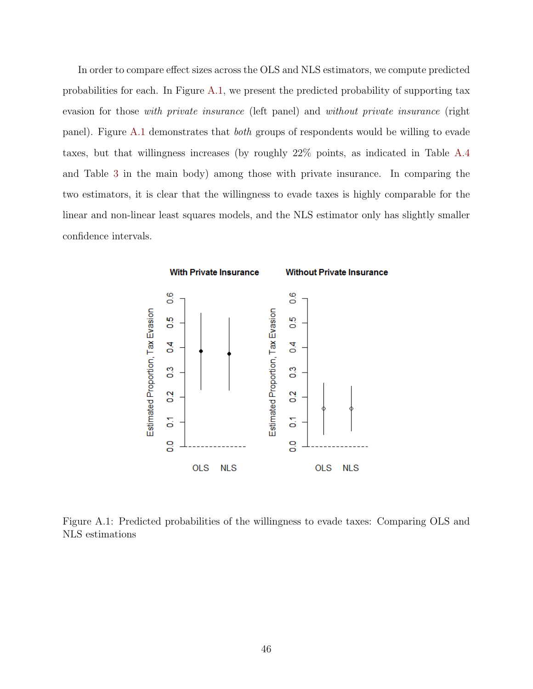In order to compare effect sizes across the OLS and NLS estimators, we compute predicted probabilities for each. In Figure [A.1,](#page-26-0) we present the predicted probability of supporting tax evasion for those with private insurance (left panel) and without private insurance (right panel). Figure [A.1](#page-26-0) demonstrates that both groups of respondents would be willing to evade taxes, but that willingness increases (by roughly 22% points, as indicated in Table [A.4](#page-29-0) and Table [3](#page-24-0) in the main body) among those with private insurance. In comparing the two estimators, it is clear that the willingness to evade taxes is highly comparable for the linear and non-linear least squares models, and the NLS estimator only has slightly smaller confidence intervals.



Figure A.1: Predicted probabilities of the willingness to evade taxes: Comparing OLS and NLS estimations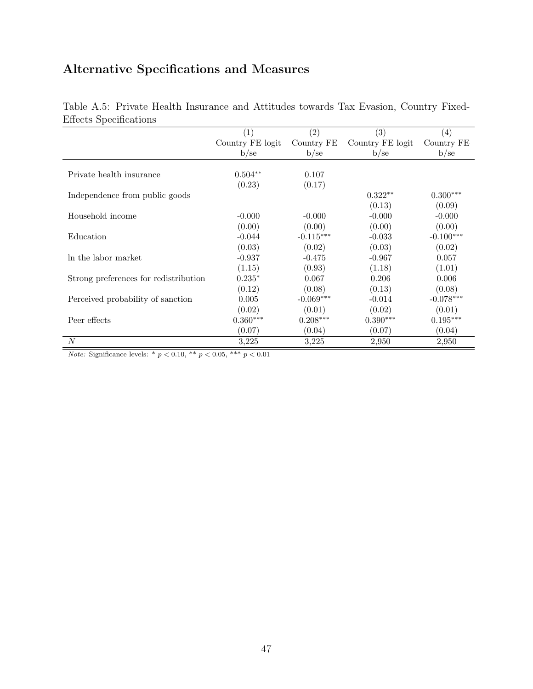# Alternative Specifications and Measures

| ппост просшестоп                      |                   |             |                   |             |
|---------------------------------------|-------------------|-------------|-------------------|-------------|
|                                       | $\left( 1\right)$ | (2)         | $\left( 3\right)$ | (4)         |
|                                       | Country FE logit  | Country FE  | Country FE logit  | Country FE  |
|                                       | $b$ /se           | b/se        | b/se              | b/se        |
|                                       |                   |             |                   |             |
| Private health insurance              | $0.504**$         | 0.107       |                   |             |
|                                       | (0.23)            | (0.17)      |                   |             |
| Independence from public goods        |                   |             | $0.322**$         | $0.300***$  |
|                                       |                   |             | (0.13)            | (0.09)      |
| Household income                      | $-0.000$          | $-0.000$    | $-0.000$          | $-0.000$    |
|                                       | (0.00)            | (0.00)      | (0.00)            | (0.00)      |
| Education                             | $-0.044$          | $-0.115***$ | $-0.033$          | $-0.100***$ |
|                                       | (0.03)            | (0.02)      | (0.03)            | (0.02)      |
| In the labor market                   | $-0.937$          | $-0.475$    | $-0.967$          | 0.057       |
|                                       | (1.15)            | (0.93)      | (1.18)            | (1.01)      |
| Strong preferences for redistribution | $0.235*$          | 0.067       | 0.206             | 0.006       |
|                                       | (0.12)            | (0.08)      | (0.13)            | (0.08)      |
| Perceived probability of sanction     | 0.005             | $-0.069***$ | $-0.014$          | $-0.078***$ |
|                                       | (0.02)            | (0.01)      | (0.02)            | (0.01)      |
| Peer effects                          | $0.360***$        | $0.208***$  | $0.390***$        | $0.195***$  |
|                                       | (0.07)            | (0.04)      | (0.07)            | (0.04)      |
| N                                     | 3,225             | 3,225       | 2,950             | 2,950       |

<span id="page-46-0"></span>Table A.5: Private Health Insurance and Attitudes towards Tax Evasion, Country Fixed-Effects Specifications

*Note:* Significance levels: \*  $p < 0.10$ , \*\*  $p < 0.05$ , \*\*\*  $p < 0.01$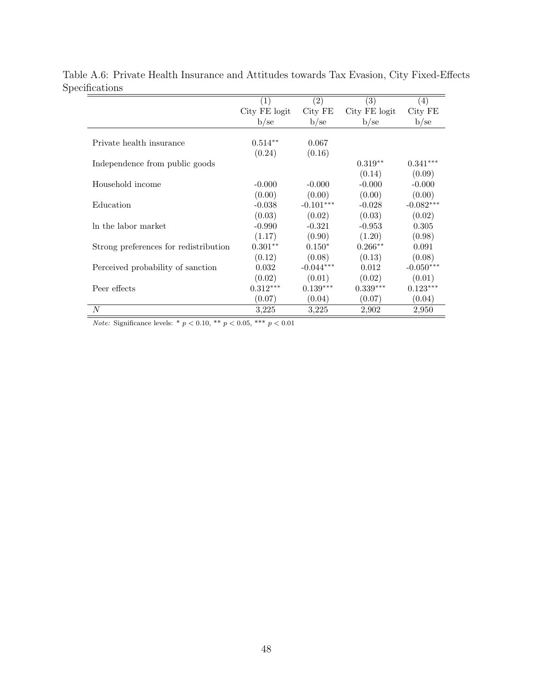<span id="page-47-0"></span>

|                                       | (1)           | (2)         | $\left( 3\right)$ | (4)         |
|---------------------------------------|---------------|-------------|-------------------|-------------|
|                                       | City FE logit | City FE     | City FE logit     | City FE     |
|                                       | b/se          | $b$ /se     | b/se              | b/se        |
|                                       |               |             |                   |             |
| Private health insurance              | $0.514**$     | 0.067       |                   |             |
|                                       | (0.24)        | (0.16)      |                   |             |
| Independence from public goods        |               |             | $0.319**$         | $0.341***$  |
|                                       |               |             | (0.14)            | (0.09)      |
| Household income                      | $-0.000$      | $-0.000$    | $-0.000$          | $-0.000$    |
|                                       | (0.00)        | (0.00)      | (0.00)            | (0.00)      |
| Education                             | $-0.038$      | $-0.101***$ | $-0.028$          | $-0.082***$ |
|                                       | (0.03)        | (0.02)      | (0.03)            | (0.02)      |
| In the labor market                   | $-0.990$      | $-0.321$    | $-0.953$          | 0.305       |
|                                       | (1.17)        | (0.90)      | (1.20)            | (0.98)      |
| Strong preferences for redistribution | $0.301**$     | $0.150*$    | $0.266**$         | 0.091       |
|                                       | (0.12)        | (0.08)      | (0.13)            | (0.08)      |
| Perceived probability of sanction     | 0.032         | $-0.044***$ | 0.012             | $-0.050***$ |
|                                       | (0.02)        | (0.01)      | (0.02)            | (0.01)      |
| Peer effects                          | $0.312***$    | $0.139***$  | $0.339***$        | $0.123***$  |
|                                       | (0.07)        | (0.04)      | (0.07)            | (0.04)      |
| $\boldsymbol{N}$                      | 3,225         | 3,225       | 2,902             | 2,950       |

Table A.6: Private Health Insurance and Attitudes towards Tax Evasion, City Fixed-Effects Specifications

*Note:* Significance levels: \*  $p < 0.10$ , \*\*  $p < 0.05$ , \*\*\*  $p < 0.01$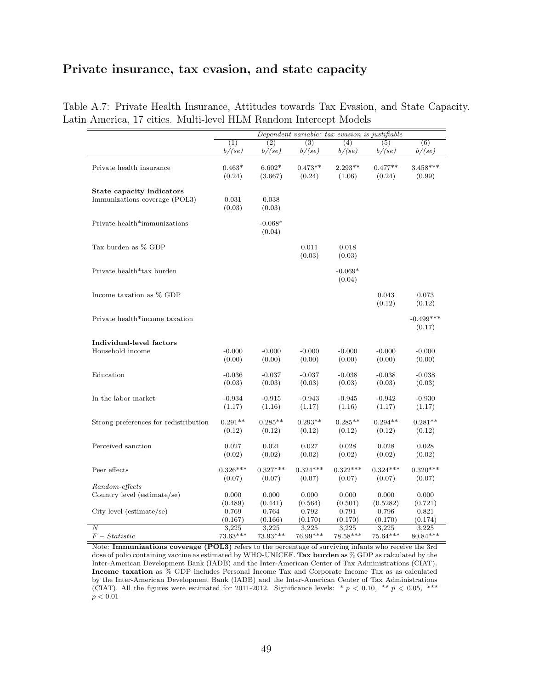### Private insurance, tax evasion, and state capacity

<span id="page-48-0"></span>

|                                       |                      |                      |                      | Dependent variable: tax evasion is justifiable |                      |                       |
|---------------------------------------|----------------------|----------------------|----------------------|------------------------------------------------|----------------------|-----------------------|
|                                       | (1)                  | (2)                  | (3)                  | (4)                                            | (5)                  | (6)                   |
|                                       | b/(se)               | b/(se)               | b/(se)               | b/(se)                                         | b/(se)               | b/(se)                |
| Private health insurance              | $0.463*$<br>(0.24)   | $6.602*$<br>(3.667)  | $0.473**$<br>(0.24)  | $2.293**$<br>(1.06)                            | $0.477**$<br>(0.24)  | $3.458***$<br>(0.99)  |
| State capacity indicators             |                      |                      |                      |                                                |                      |                       |
| Immunizations coverage (POL3)         | 0.031<br>(0.03)      | 0.038<br>(0.03)      |                      |                                                |                      |                       |
| Private health*immunizations          |                      | $-0.068*$<br>(0.04)  |                      |                                                |                      |                       |
| Tax burden as % GDP                   |                      |                      | 0.011<br>(0.03)      | 0.018<br>(0.03)                                |                      |                       |
| Private health*tax burden             |                      |                      |                      | $-0.069*$<br>(0.04)                            |                      |                       |
| Income taxation as % GDP              |                      |                      |                      |                                                | 0.043<br>(0.12)      | 0.073<br>(0.12)       |
| Private health*income taxation        |                      |                      |                      |                                                |                      | $-0.499***$<br>(0.17) |
| Individual-level factors              |                      |                      |                      |                                                |                      |                       |
| Household income                      | $-0.000$<br>(0.00)   | $-0.000$<br>(0.00)   | $-0.000$<br>(0.00)   | $-0.000$<br>(0.00)                             | $-0.000$<br>(0.00)   | $-0.000$<br>(0.00)    |
| Education                             | $-0.036$<br>(0.03)   | $-0.037$<br>(0.03)   | $-0.037$<br>(0.03)   | $-0.038$<br>(0.03)                             | $-0.038$<br>(0.03)   | $-0.038$<br>(0.03)    |
| In the labor market                   | $-0.934$<br>(1.17)   | $-0.915$<br>(1.16)   | $-0.943$<br>(1.17)   | $-0.945$<br>(1.16)                             | $-0.942$<br>(1.17)   | $-0.930$<br>(1.17)    |
| Strong preferences for redistribution | $0.291**$<br>(0.12)  | $0.285**$<br>(0.12)  | $0.293**$<br>(0.12)  | $0.285**$<br>(0.12)                            | $0.294**$<br>(0.12)  | $0.281**$<br>(0.12)   |
| Perceived sanction                    | 0.027<br>(0.02)      | 0.021<br>(0.02)      | 0.027<br>(0.02)      | 0.028<br>(0.02)                                | 0.028<br>(0.02)      | 0.028<br>(0.02)       |
| Peer effects                          | $0.326***$<br>(0.07) | $0.327***$<br>(0.07) | $0.324***$<br>(0.07) | $0.322***$<br>(0.07)                           | $0.324***$<br>(0.07) | $0.320***$<br>(0.07)  |
| Random-effects                        |                      |                      |                      |                                                |                      |                       |
| Country level (estimate/se)           | 0.000                | 0.000                | 0.000                | 0.000                                          | 0.000                | 0.000                 |
|                                       | (0.489)              | (0.441)              | (0.564)              | (0.501)                                        | (0.5282)             | (0.721)               |
| City level $(estimate/sec)$           | 0.769<br>(0.167)     | 0.764<br>(0.166)     | 0.792<br>(0.170)     | 0.791<br>(0.170)                               | 0.796<br>(0.170)     | 0.821<br>(0.174)      |
| $\overline{N}$                        | 3,225                | 3,225                | 3,225                | 3,225                                          | 3,225                | 3,225                 |
| $F - Statistic$                       | 73.63***             | 73.93***             | 76.99***             | $78.58***$                                     | 75.64***             | 80.84***              |

Table A.7: Private Health Insurance, Attitudes towards Tax Evasion, and State Capacity. Latin America, 17 cities. Multi-level HLM Random Intercept Models

Note: Immunizations coverage (POL3) refers to the percentage of surviving infants who receive the 3rd dose of polio containing vaccine as estimated by WHO-UNICEF. Tax burden as % GDP as calculated by the Inter-American Development Bank (IADB) and the Inter-American Center of Tax Administrations (CIAT). Income taxation as % GDP includes Personal Income Tax and Corporate Income Tax as as calculated by the Inter-American Development Bank (IADB) and the Inter-American Center of Tax Administrations (CIAT). All the figures were estimated for 2011-2012. Significance levels: \*  $p < 0.10$ , \*\*  $p < 0.05$ , \*\*\*  $p < 0.01\,$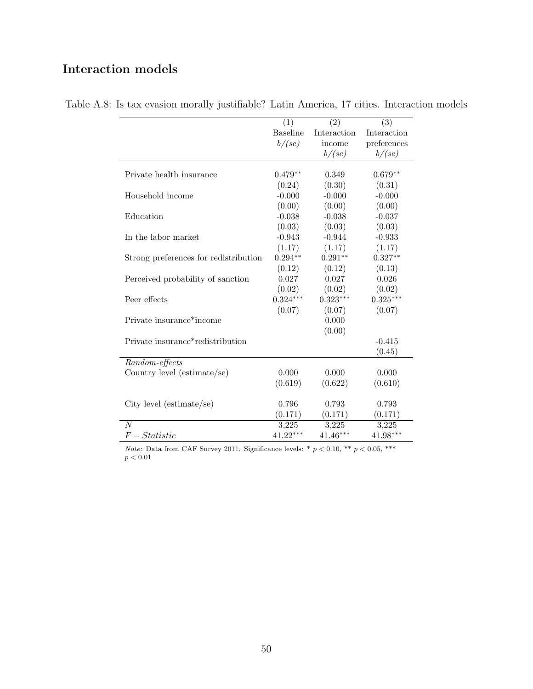## Interaction models

<span id="page-49-0"></span>

|                                       | (1)             | (2)         | $\overline{(3)}$ |
|---------------------------------------|-----------------|-------------|------------------|
|                                       | <b>Baseline</b> | Interaction | Interaction      |
|                                       | b/(se)          | income      | preferences      |
|                                       |                 | b/(se)      | b/(se)           |
|                                       |                 |             |                  |
| Private health insurance              | $0.479**$       | 0.349       | $0.679**$        |
|                                       | (0.24)          | (0.30)      | (0.31)           |
| Household income                      | $-0.000$        | $-0.000$    | $-0.000$         |
|                                       | (0.00)          | (0.00)      | (0.00)           |
| Education                             | $-0.038$        | $-0.038$    | $-0.037$         |
|                                       | (0.03)          | (0.03)      | (0.03)           |
| In the labor market                   | $-0.943$        | $-0.944$    | $-0.933$         |
|                                       | (1.17)          | (1.17)      | (1.17)           |
| Strong preferences for redistribution | $0.294**$       | $0.291**$   | $0.327**$        |
|                                       | (0.12)          | (0.12)      | (0.13)           |
| Perceived probability of sanction     | 0.027           | 0.027       | 0.026            |
|                                       | (0.02)          | (0.02)      | (0.02)           |
| Peer effects                          | $0.324***$      | $0.323***$  | $0.325***$       |
|                                       | (0.07)          | (0.07)      | (0.07)           |
| Private insurance*income              |                 | 0.000       |                  |
|                                       |                 | (0.00)      |                  |
| Private insurance*redistribution      |                 |             | $-0.415$         |
|                                       |                 |             | (0.45)           |
| Random-effects                        |                 |             |                  |
| Country level (estimate/se)           | 0.000           | 0.000       | 0.000            |
|                                       | (0.619)         | (0.622)     | (0.610)          |
|                                       |                 |             |                  |
| City level $(estimate/sec)$           | 0.796           | 0.793       | 0.793            |
|                                       | (0.171)         | (0.171)     | (0.171)          |
| $\overline{N}$                        | 3,225           | 3,225       | 3,225            |
| $F - Statistic$                       | $41.22***$      | $41.46***$  | 41.98***         |
|                                       |                 |             |                  |

Table A.8: Is tax evasion morally justifiable? Latin America, 17 cities. Interaction models

*Note:* Data from CAF Survey 2011. Significance levels: \*  $p < 0.10$ , \*\*  $p < 0.05$ , \*\*\*  $p < 0.01\,$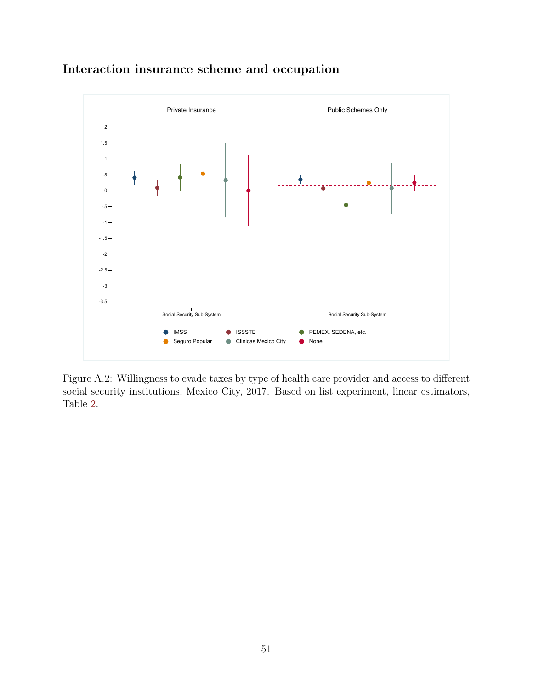

## Interaction insurance scheme and occupation

<span id="page-50-0"></span>Figure A.2: Willingness to evade taxes by type of health care provider and access to different social security institutions, Mexico City, 2017. Based on list experiment, linear estimators, Table [2.](#page-22-0)